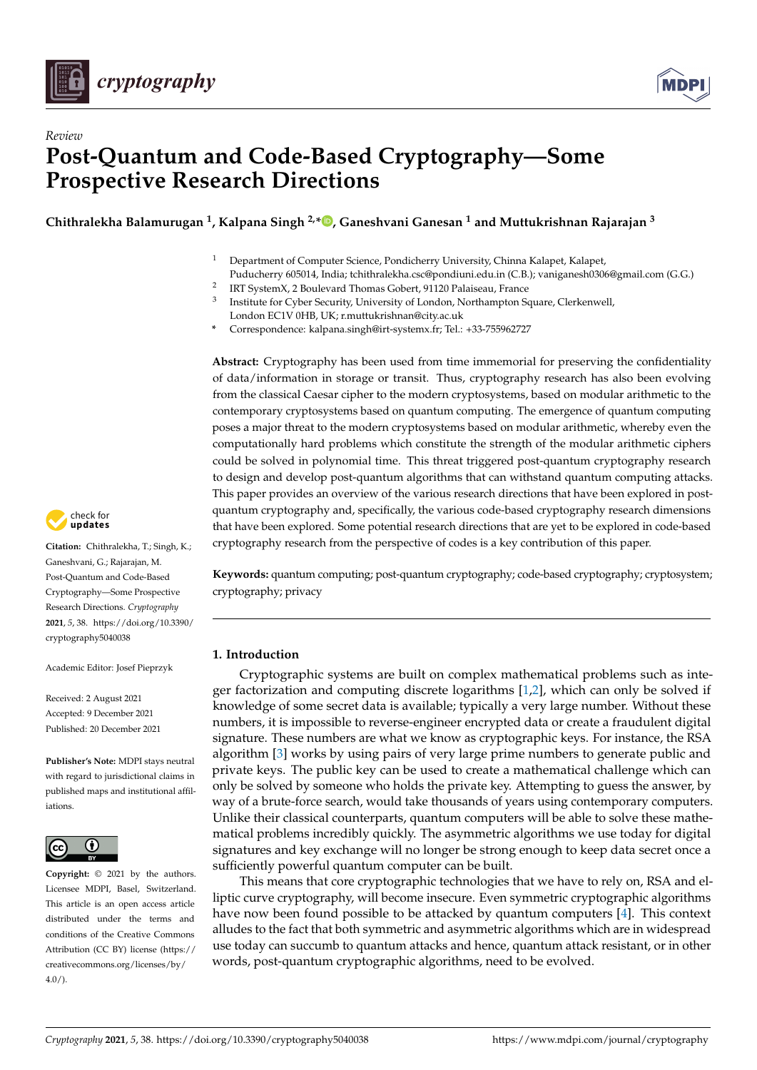



# *Review* **Post-Quantum and Code-Based Cryptography—Some Prospective Research Directions**

**Chithralekha Balamurugan <sup>1</sup> , Kalpana Singh 2,\* [,](https://orcid.org/0000-0003-0081-3135) Ganeshvani Ganesan <sup>1</sup> and Muttukrishnan Rajarajan <sup>3</sup>**

- <sup>1</sup> Department of Computer Science, Pondicherry University, Chinna Kalapet, Kalapet, Puducherry 605014, India; tchithralekha.csc@pondiuni.edu.in (C.B.); vaniganesh0306@gmail.com (G.G.) 2
- IRT SystemX, 2 Boulevard Thomas Gobert, 91120 Palaiseau, France 3
- Institute for Cyber Security, University of London, Northampton Square, Clerkenwell, London EC1V 0HB, UK; r.muttukrishnan@city.ac.uk
- **\*** Correspondence: kalpana.singh@irt-systemx.fr; Tel.: +33-755962727

**Abstract:** Cryptography has been used from time immemorial for preserving the confidentiality of data/information in storage or transit. Thus, cryptography research has also been evolving from the classical Caesar cipher to the modern cryptosystems, based on modular arithmetic to the contemporary cryptosystems based on quantum computing. The emergence of quantum computing poses a major threat to the modern cryptosystems based on modular arithmetic, whereby even the computationally hard problems which constitute the strength of the modular arithmetic ciphers could be solved in polynomial time. This threat triggered post-quantum cryptography research to design and develop post-quantum algorithms that can withstand quantum computing attacks. This paper provides an overview of the various research directions that have been explored in postquantum cryptography and, specifically, the various code-based cryptography research dimensions that have been explored. Some potential research directions that are yet to be explored in code-based cryptography research from the perspective of codes is a key contribution of this paper.

**Keywords:** quantum computing; post-quantum cryptography; code-based cryptography; cryptosystem; cryptography; privacy

# **1. Introduction**

Cryptographic systems are built on complex mathematical problems such as integer factorization and computing discrete logarithms [\[1](#page-25-0)[,2\]](#page-25-1), which can only be solved if knowledge of some secret data is available; typically a very large number. Without these numbers, it is impossible to reverse-engineer encrypted data or create a fraudulent digital signature. These numbers are what we know as cryptographic keys. For instance, the RSA algorithm [\[3\]](#page-25-2) works by using pairs of very large prime numbers to generate public and private keys. The public key can be used to create a mathematical challenge which can only be solved by someone who holds the private key. Attempting to guess the answer, by way of a brute-force search, would take thousands of years using contemporary computers. Unlike their classical counterparts, quantum computers will be able to solve these mathematical problems incredibly quickly. The asymmetric algorithms we use today for digital signatures and key exchange will no longer be strong enough to keep data secret once a sufficiently powerful quantum computer can be built.

This means that core cryptographic technologies that we have to rely on, RSA and elliptic curve cryptography, will become insecure. Even symmetric cryptographic algorithms have now been found possible to be attacked by quantum computers [\[4\]](#page-25-3). This context alludes to the fact that both symmetric and asymmetric algorithms which are in widespread use today can succumb to quantum attacks and hence, quantum attack resistant, or in other words, post-quantum cryptographic algorithms, need to be evolved.



**Citation:** Chithralekha, T.; Singh, K.; Ganeshvani, G.; Rajarajan, M. Post-Quantum and Code-Based Cryptography—Some Prospective Research Directions. *Cryptography* **2021**, *5*, 38. [https://doi.org/10.3390/](https://doi.org/10.3390/cryptography5040038) [cryptography5040038](https://doi.org/10.3390/cryptography5040038)

Academic Editor: Josef Pieprzyk

Received: 2 August 2021 Accepted: 9 December 2021 Published: 20 December 2021

**Publisher's Note:** MDPI stays neutral with regard to jurisdictional claims in published maps and institutional affiliations.



**Copyright:** © 2021 by the authors. Licensee MDPI, Basel, Switzerland. This article is an open access article distributed under the terms and conditions of the Creative Commons Attribution (CC BY) license (https:/[/](https://creativecommons.org/licenses/by/4.0/) [creativecommons.org/licenses/by/](https://creativecommons.org/licenses/by/4.0/)  $4.0/$ ).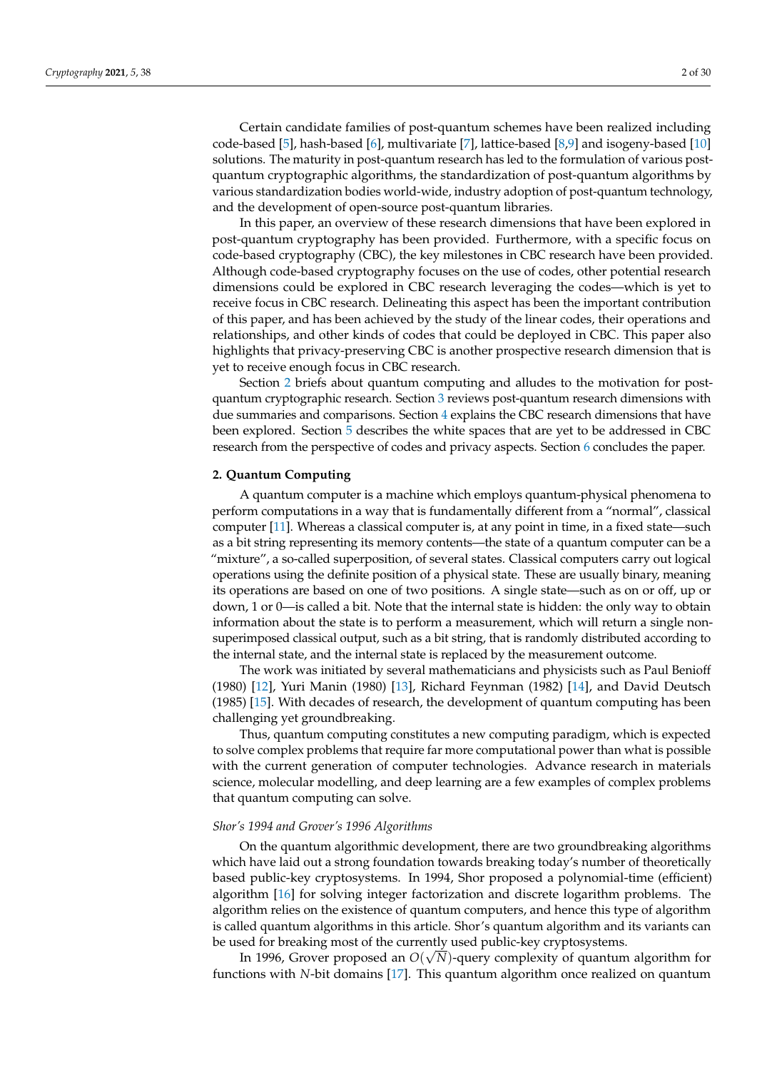Certain candidate families of post-quantum schemes have been realized including code-based [\[5\]](#page-25-4), hash-based [\[6\]](#page-25-5), multivariate [\[7\]](#page-25-6), lattice-based [\[8](#page-25-7)[,9\]](#page-25-8) and isogeny-based [\[10\]](#page-25-9) solutions. The maturity in post-quantum research has led to the formulation of various postquantum cryptographic algorithms, the standardization of post-quantum algorithms by various standardization bodies world-wide, industry adoption of post-quantum technology, and the development of open-source post-quantum libraries.

In this paper, an overview of these research dimensions that have been explored in post-quantum cryptography has been provided. Furthermore, with a specific focus on code-based cryptography (CBC), the key milestones in CBC research have been provided. Although code-based cryptography focuses on the use of codes, other potential research dimensions could be explored in CBC research leveraging the codes—which is yet to receive focus in CBC research. Delineating this aspect has been the important contribution of this paper, and has been achieved by the study of the linear codes, their operations and relationships, and other kinds of codes that could be deployed in CBC. This paper also highlights that privacy-preserving CBC is another prospective research dimension that is yet to receive enough focus in CBC research.

Section [2](#page-1-0) briefs about quantum computing and alludes to the motivation for postquantum cryptographic research. Section [3](#page-2-0) reviews post-quantum research dimensions with due summaries and comparisons. Section [4](#page-11-0) explains the CBC research dimensions that have been explored. Section [5](#page-20-0) describes the white spaces that are yet to be addressed in CBC research from the perspective of codes and privacy aspects. Section [6](#page-24-0) concludes the paper.

#### <span id="page-1-0"></span>**2. Quantum Computing**

A quantum computer is a machine which employs quantum-physical phenomena to perform computations in a way that is fundamentally different from a "normal", classical computer [\[11\]](#page-25-10). Whereas a classical computer is, at any point in time, in a fixed state—such as a bit string representing its memory contents—the state of a quantum computer can be a "mixture", a so-called superposition, of several states. Classical computers carry out logical operations using the definite position of a physical state. These are usually binary, meaning its operations are based on one of two positions. A single state—such as on or off, up or down, 1 or 0—is called a bit. Note that the internal state is hidden: the only way to obtain information about the state is to perform a measurement, which will return a single nonsuperimposed classical output, such as a bit string, that is randomly distributed according to the internal state, and the internal state is replaced by the measurement outcome.

The work was initiated by several mathematicians and physicists such as Paul Benioff (1980) [\[12\]](#page-25-11), Yuri Manin (1980) [\[13\]](#page-25-12), Richard Feynman (1982) [\[14\]](#page-25-13), and David Deutsch (1985) [\[15\]](#page-25-14). With decades of research, the development of quantum computing has been challenging yet groundbreaking.

Thus, quantum computing constitutes a new computing paradigm, which is expected to solve complex problems that require far more computational power than what is possible with the current generation of computer technologies. Advance research in materials science, molecular modelling, and deep learning are a few examples of complex problems that quantum computing can solve.

## *Shor's 1994 and Grover's 1996 Algorithms*

On the quantum algorithmic development, there are two groundbreaking algorithms which have laid out a strong foundation towards breaking today's number of theoretically based public-key cryptosystems. In 1994, Shor proposed a polynomial-time (efficient) algorithm [\[16\]](#page-25-15) for solving integer factorization and discrete logarithm problems. The algorithm relies on the existence of quantum computers, and hence this type of algorithm is called quantum algorithms in this article. Shor's quantum algorithm and its variants can be used for breaking most of the currently used public-key cryptosystems.

In 1996, Grover proposed an  $O(\sqrt{N})$ -query complexity of quantum algorithm for functions with *N*-bit domains [\[17\]](#page-25-16). This quantum algorithm once realized on quantum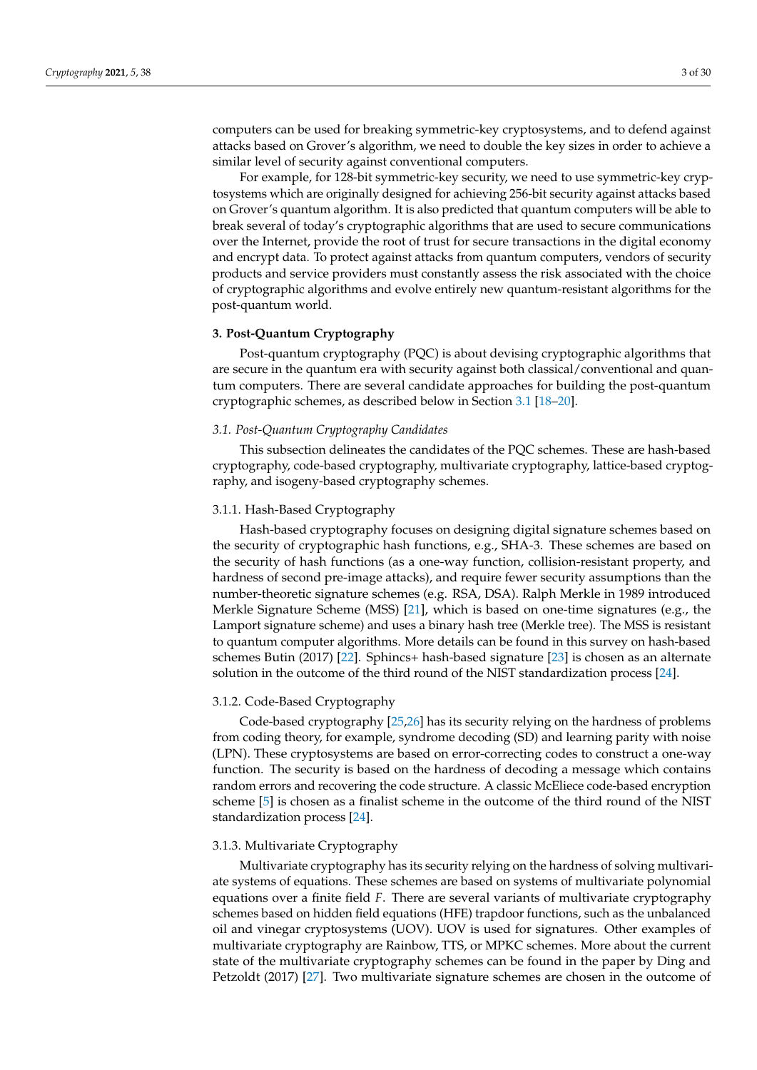computers can be used for breaking symmetric-key cryptosystems, and to defend against attacks based on Grover's algorithm, we need to double the key sizes in order to achieve a similar level of security against conventional computers.

For example, for 128-bit symmetric-key security, we need to use symmetric-key cryptosystems which are originally designed for achieving 256-bit security against attacks based on Grover's quantum algorithm. It is also predicted that quantum computers will be able to break several of today's cryptographic algorithms that are used to secure communications over the Internet, provide the root of trust for secure transactions in the digital economy and encrypt data. To protect against attacks from quantum computers, vendors of security products and service providers must constantly assess the risk associated with the choice of cryptographic algorithms and evolve entirely new quantum-resistant algorithms for the post-quantum world.

## <span id="page-2-0"></span>**3. Post-Quantum Cryptography**

Post-quantum cryptography (PQC) is about devising cryptographic algorithms that are secure in the quantum era with security against both classical/conventional and quantum computers. There are several candidate approaches for building the post-quantum cryptographic schemes, as described below in Section [3.1](#page-2-1) [\[18–](#page-25-17)[20\]](#page-25-18).

#### <span id="page-2-1"></span>*3.1. Post-Quantum Cryptography Candidates*

This subsection delineates the candidates of the PQC schemes. These are hash-based cryptography, code-based cryptography, multivariate cryptography, lattice-based cryptography, and isogeny-based cryptography schemes.

## 3.1.1. Hash-Based Cryptography

Hash-based cryptography focuses on designing digital signature schemes based on the security of cryptographic hash functions, e.g., SHA-3. These schemes are based on the security of hash functions (as a one-way function, collision-resistant property, and hardness of second pre-image attacks), and require fewer security assumptions than the number-theoretic signature schemes (e.g. RSA, DSA). Ralph Merkle in 1989 introduced Merkle Signature Scheme (MSS) [\[21\]](#page-25-19), which is based on one-time signatures (e.g., the Lamport signature scheme) and uses a binary hash tree (Merkle tree). The MSS is resistant to quantum computer algorithms. More details can be found in this survey on hash-based schemes Butin (2017) [\[22\]](#page-25-20). Sphincs+ hash-based signature [\[23\]](#page-25-21) is chosen as an alternate solution in the outcome of the third round of the NIST standardization process [\[24\]](#page-25-22).

# 3.1.2. Code-Based Cryptography

Code-based cryptography [\[25,](#page-25-23)[26\]](#page-25-24) has its security relying on the hardness of problems from coding theory, for example, syndrome decoding (SD) and learning parity with noise (LPN). These cryptosystems are based on error-correcting codes to construct a one-way function. The security is based on the hardness of decoding a message which contains random errors and recovering the code structure. A classic McEliece code-based encryption scheme [\[5\]](#page-25-4) is chosen as a finalist scheme in the outcome of the third round of the NIST standardization process [\[24\]](#page-25-22).

#### 3.1.3. Multivariate Cryptography

Multivariate cryptography has its security relying on the hardness of solving multivariate systems of equations. These schemes are based on systems of multivariate polynomial equations over a finite field *F*. There are several variants of multivariate cryptography schemes based on hidden field equations (HFE) trapdoor functions, such as the unbalanced oil and vinegar cryptosystems (UOV). UOV is used for signatures. Other examples of multivariate cryptography are Rainbow, TTS, or MPKC schemes. More about the current state of the multivariate cryptography schemes can be found in the paper by Ding and Petzoldt (2017) [\[27\]](#page-25-25). Two multivariate signature schemes are chosen in the outcome of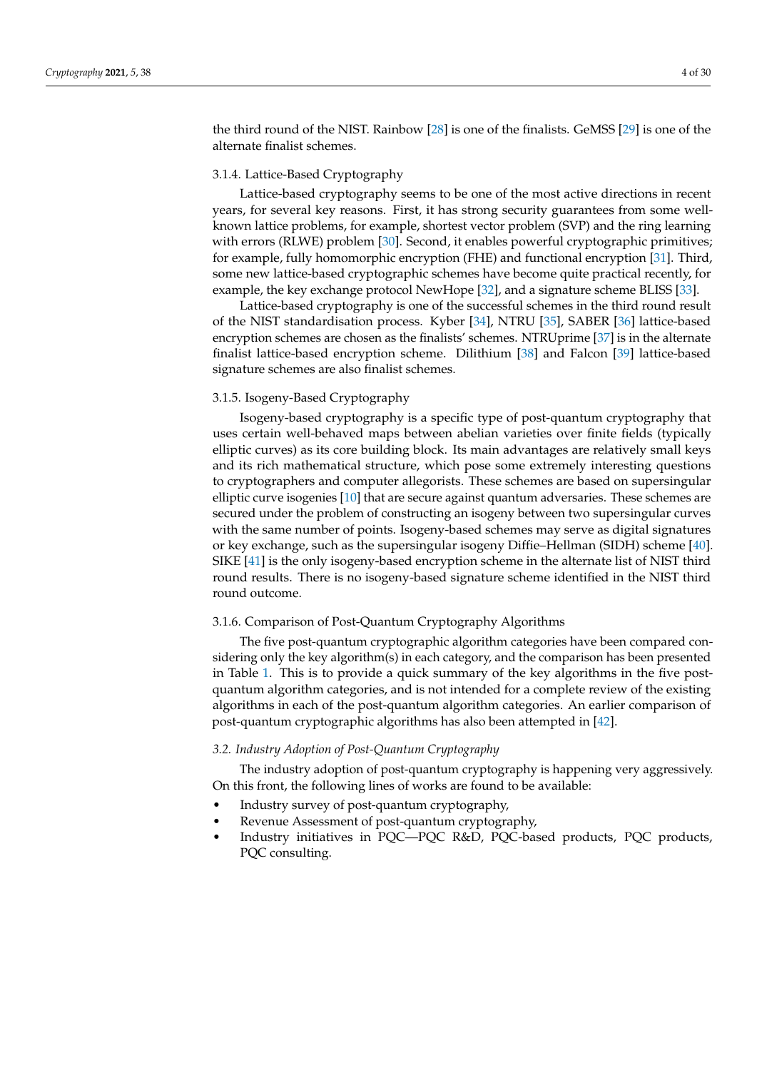the third round of the NIST. Rainbow [\[28\]](#page-25-26) is one of the finalists. GeMSS [\[29\]](#page-25-27) is one of the alternate finalist schemes.

# 3.1.4. Lattice-Based Cryptography

Lattice-based cryptography seems to be one of the most active directions in recent years, for several key reasons. First, it has strong security guarantees from some wellknown lattice problems, for example, shortest vector problem (SVP) and the ring learning with errors (RLWE) problem [\[30\]](#page-25-28). Second, it enables powerful cryptographic primitives; for example, fully homomorphic encryption (FHE) and functional encryption [\[31\]](#page-25-29). Third, some new lattice-based cryptographic schemes have become quite practical recently, for example, the key exchange protocol NewHope [\[32\]](#page-25-30), and a signature scheme BLISS [\[33\]](#page-25-31).

Lattice-based cryptography is one of the successful schemes in the third round result of the NIST standardisation process. Kyber [\[34\]](#page-25-32), NTRU [\[35\]](#page-26-0), SABER [\[36\]](#page-26-1) lattice-based encryption schemes are chosen as the finalists' schemes. NTRUprime [\[37\]](#page-26-2) is in the alternate finalist lattice-based encryption scheme. Dilithium [\[38\]](#page-26-3) and Falcon [\[39\]](#page-26-4) lattice-based signature schemes are also finalist schemes.

#### 3.1.5. Isogeny-Based Cryptography

Isogeny-based cryptography is a specific type of post-quantum cryptography that uses certain well-behaved maps between abelian varieties over finite fields (typically elliptic curves) as its core building block. Its main advantages are relatively small keys and its rich mathematical structure, which pose some extremely interesting questions to cryptographers and computer allegorists. These schemes are based on supersingular elliptic curve isogenies [\[10\]](#page-25-9) that are secure against quantum adversaries. These schemes are secured under the problem of constructing an isogeny between two supersingular curves with the same number of points. Isogeny-based schemes may serve as digital signatures or key exchange, such as the supersingular isogeny Diffie–Hellman (SIDH) scheme [\[40\]](#page-26-5). SIKE [\[41\]](#page-26-6) is the only isogeny-based encryption scheme in the alternate list of NIST third round results. There is no isogeny-based signature scheme identified in the NIST third round outcome.

## 3.1.6. Comparison of Post-Quantum Cryptography Algorithms

The five post-quantum cryptographic algorithm categories have been compared considering only the key algorithm(s) in each category, and the comparison has been presented in Table [1.](#page-4-0) This is to provide a quick summary of the key algorithms in the five postquantum algorithm categories, and is not intended for a complete review of the existing algorithms in each of the post-quantum algorithm categories. An earlier comparison of post-quantum cryptographic algorithms has also been attempted in [\[42\]](#page-26-7).

# *3.2. Industry Adoption of Post-Quantum Cryptography*

The industry adoption of post-quantum cryptography is happening very aggressively. On this front, the following lines of works are found to be available:

- Industry survey of post-quantum cryptography,
- Revenue Assessment of post-quantum cryptography,
- Industry initiatives in PQC—PQC R&D, PQC-based products, PQC products, PQC consulting.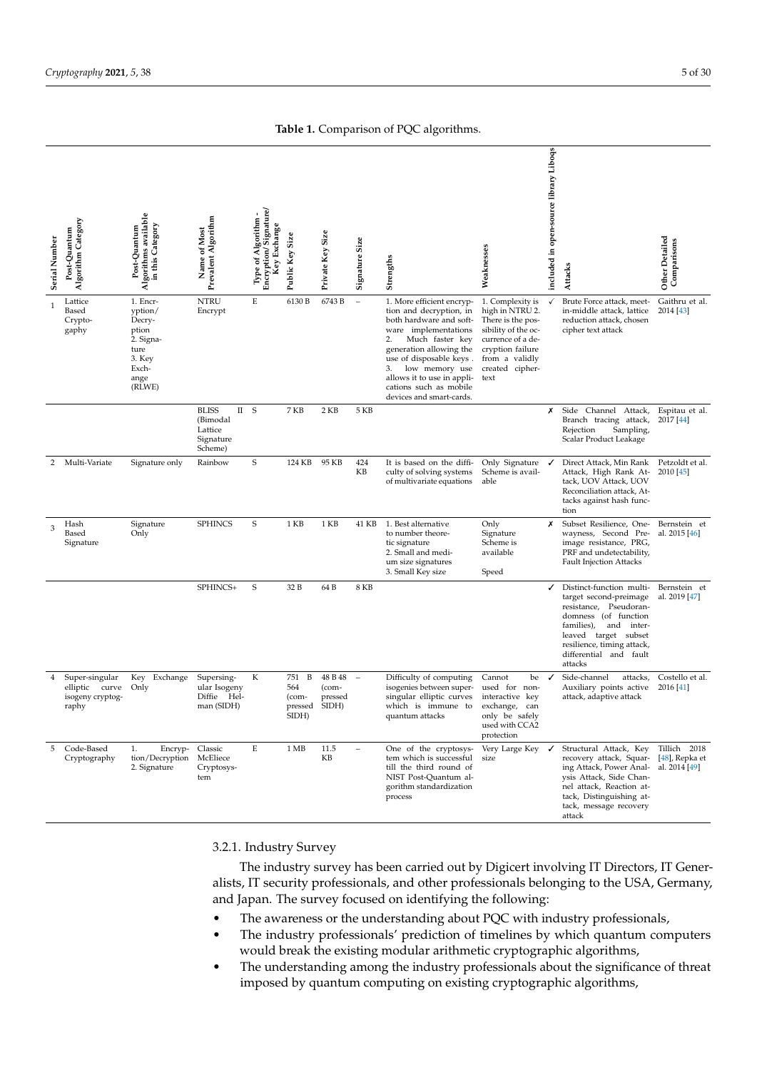**Table 1.** Comparison of PQC algorithms.

<span id="page-4-0"></span>

| Serial Number | Algorithm Category<br>Post-Quantum                            | gorithms available<br>in this Category<br>Post-Quantum<br>₹                                      | Prevalent Algorithm<br>Name of Most                                                 | Encryption/Signature/<br>Type of Algorithm<br>Key Exchange | Public Key Size                              | Private Key Size                     | Signature Size           | Strengths                                                                                                                                                                                                                                                                                          | Weaknesses                                                                                                                                                            | included in open-source library Liboqs | Attacks                                                                                                                                                                                                                     | Other Detailed<br>Comparisons                   |
|---------------|---------------------------------------------------------------|--------------------------------------------------------------------------------------------------|-------------------------------------------------------------------------------------|------------------------------------------------------------|----------------------------------------------|--------------------------------------|--------------------------|----------------------------------------------------------------------------------------------------------------------------------------------------------------------------------------------------------------------------------------------------------------------------------------------------|-----------------------------------------------------------------------------------------------------------------------------------------------------------------------|----------------------------------------|-----------------------------------------------------------------------------------------------------------------------------------------------------------------------------------------------------------------------------|-------------------------------------------------|
| 1             | Lattice<br>Based<br>Crypto-<br>gaphy                          | 1. Encr-<br>yption/<br>Decry-<br>ption<br>2. Signa-<br>ture<br>3. Key<br>Exch-<br>ange<br>(RLWE) | <b>NTRU</b><br>Encrypt                                                              | E                                                          | 6130 B                                       | 6743 B                               | $\overline{\phantom{a}}$ | 1. More efficient encryp-<br>tion and decryption, in<br>both hardware and soft-<br>ware implementations<br>Much faster key<br>2.<br>generation allowing the<br>use of disposable keys.<br>low memory use<br>3.<br>allows it to use in appli-<br>cations such as mobile<br>devices and smart-cards. | 1. Complexity is<br>high in NTRU 2.<br>There is the pos-<br>sibility of the oc-<br>currence of a de-<br>cryption failure<br>from a validly<br>created cipher-<br>text |                                        | Brute Force attack, meet-<br>in-middle attack, lattice<br>reduction attack, chosen<br>cipher text attack                                                                                                                    | Gaithru et al.<br>2014 [43]                     |
|               |                                                               |                                                                                                  | <b>BLISS</b><br>$\scriptstyle\rm II$<br>(Bimodal<br>Lattice<br>Signature<br>Scheme) | S                                                          | 7 KB                                         | 2KB                                  | 5 KB                     |                                                                                                                                                                                                                                                                                                    |                                                                                                                                                                       | Х                                      | Side<br>Channel Attack,<br>Branch tracing attack,<br>Rejection<br>Sampling,<br>Scalar Product Leakage                                                                                                                       | Espitau et al.<br>2017 [44]                     |
| 2             | Multi-Variate                                                 | Signature only                                                                                   | Rainbow                                                                             | S                                                          | 124 KB                                       | 95 KB                                | 424<br>KB                | It is based on the diffi-<br>culty of solving systems<br>of multivariate equations                                                                                                                                                                                                                 | Only Signature<br>Scheme is avail-<br>able                                                                                                                            | ✓                                      | Direct Attack, Min Rank<br>Attack, High Rank At-<br>tack, UOV Attack, UOV<br>Reconciliation attack, At-<br>tacks against hash func-<br>tion                                                                                 | Petzoldt et al.<br>2010 [45]                    |
| 3             | Hash<br>Based<br>Signature                                    | Signature<br>Only                                                                                | <b>SPHINCS</b>                                                                      | S                                                          | 1 KB                                         | 1 KB                                 | 41 KB                    | 1. Best alternative<br>to number theore-<br>tic signature<br>2. Small and medi-<br>um size signatures<br>3. Small Key size                                                                                                                                                                         | Only<br>Signature<br>Scheme is<br>available<br>Speed                                                                                                                  | х                                      | Subset Resilience, One-<br>wayness, Second Pre-<br>image resistance, PRG,<br>PRF and undetectability,<br><b>Fault Injection Attacks</b>                                                                                     | Bernstein et<br>al. 2015 [46]                   |
|               |                                                               |                                                                                                  | SPHINCS+                                                                            | S                                                          | 32 B                                         | 64 B                                 | <b>8 KB</b>              |                                                                                                                                                                                                                                                                                                    |                                                                                                                                                                       | ✓                                      | Distinct-function multi-<br>target second-preimage<br>resistance, Pseudoran-<br>domness (of function<br>families),<br>and inter-<br>leaved target subset<br>resilience, timing attack,<br>differential and fault<br>attacks | Bernstein et<br>al. 2019 [47]                   |
| 4             | Super-singular<br>elliptic curve<br>isogeny cryptog-<br>raphy | Key Exchange<br>Only                                                                             | Supersing-<br>ular Isogeny<br>Diffie Hel-<br>man (SIDH)                             | К                                                          | B<br>751<br>564<br>(com-<br>pressed<br>SIDH) | 48 B 48<br>(com-<br>pressed<br>SIDH) |                          | Difficulty of computing<br>isogenies between super-<br>singular elliptic curves<br>which is immune to<br>quantum attacks                                                                                                                                                                           | Cannot<br>be<br>used for non-<br>interactive key<br>exchange,<br>can<br>only be safely<br>used with CCA2<br>protection                                                | ✓                                      | Side-channel<br>attacks,<br>Auxiliary points active<br>attack, adaptive attack                                                                                                                                              | Costello et al.<br>2016 [41]                    |
| 5             | Code-Based<br>Cryptography                                    | 1.<br>Encryp- Classic<br>tion/Decryption McEliece<br>2. Signature                                | Cryptosys-<br>tem                                                                   | Ε                                                          | 1 MB                                         | 11.5<br>KB                           |                          | One of the cryptosys-<br>tem which is successful<br>till the third round of<br>NIST Post-Quantum al-<br>gorithm standardization<br>process                                                                                                                                                         | Very Large Key<br>size                                                                                                                                                | ✓                                      | Structural Attack, Key<br>recovery attack, Squar-<br>ing Attack, Power Anal-<br>ysis Attack, Side Chan-<br>nel attack, Reaction at-<br>tack, Distinguishing at-<br>tack, message recovery<br>attack                         | Tillich 2018<br>[48], Repka et<br>al. 2014 [49] |

3.2.1. Industry Survey

The industry survey has been carried out by Digicert involving IT Directors, IT Generalists, IT security professionals, and other professionals belonging to the USA, Germany, and Japan. The survey focused on identifying the following:

- The awareness or the understanding about PQC with industry professionals,
- The industry professionals' prediction of timelines by which quantum computers would break the existing modular arithmetic cryptographic algorithms,
- The understanding among the industry professionals about the significance of threat imposed by quantum computing on existing cryptographic algorithms,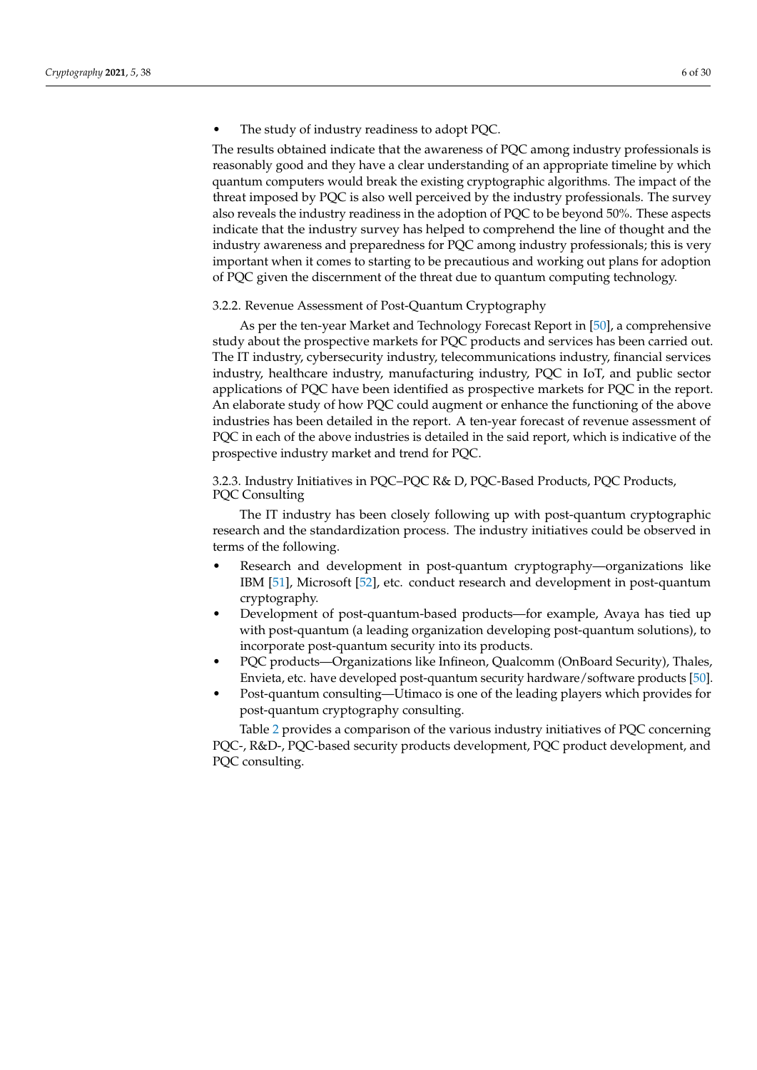## The study of industry readiness to adopt PQC.

The results obtained indicate that the awareness of PQC among industry professionals is reasonably good and they have a clear understanding of an appropriate timeline by which quantum computers would break the existing cryptographic algorithms. The impact of the threat imposed by PQC is also well perceived by the industry professionals. The survey also reveals the industry readiness in the adoption of PQC to be beyond 50%. These aspects indicate that the industry survey has helped to comprehend the line of thought and the industry awareness and preparedness for PQC among industry professionals; this is very important when it comes to starting to be precautious and working out plans for adoption of PQC given the discernment of the threat due to quantum computing technology.

#### 3.2.2. Revenue Assessment of Post-Quantum Cryptography

As per the ten-year Market and Technology Forecast Report in [\[50\]](#page-26-15), a comprehensive study about the prospective markets for PQC products and services has been carried out. The IT industry, cybersecurity industry, telecommunications industry, financial services industry, healthcare industry, manufacturing industry, PQC in IoT, and public sector applications of PQC have been identified as prospective markets for PQC in the report. An elaborate study of how PQC could augment or enhance the functioning of the above industries has been detailed in the report. A ten-year forecast of revenue assessment of PQC in each of the above industries is detailed in the said report, which is indicative of the prospective industry market and trend for PQC.

# 3.2.3. Industry Initiatives in PQC–PQC R& D, PQC-Based Products, PQC Products, PQC Consulting

The IT industry has been closely following up with post-quantum cryptographic research and the standardization process. The industry initiatives could be observed in terms of the following.

- Research and development in post-quantum cryptography—organizations like IBM [\[51\]](#page-26-16), Microsoft [\[52\]](#page-26-17), etc. conduct research and development in post-quantum cryptography.
- Development of post-quantum-based products—for example, Avaya has tied up with post-quantum (a leading organization developing post-quantum solutions), to incorporate post-quantum security into its products.
- PQC products—Organizations like Infineon, Qualcomm (OnBoard Security), Thales, Envieta, etc. have developed post-quantum security hardware/software products [\[50\]](#page-26-15).
- Post-quantum consulting—Utimaco is one of the leading players which provides for post-quantum cryptography consulting.

Table [2](#page-6-0) provides a comparison of the various industry initiatives of PQC concerning PQC-, R&D-, PQC-based security products development, PQC product development, and PQC consulting.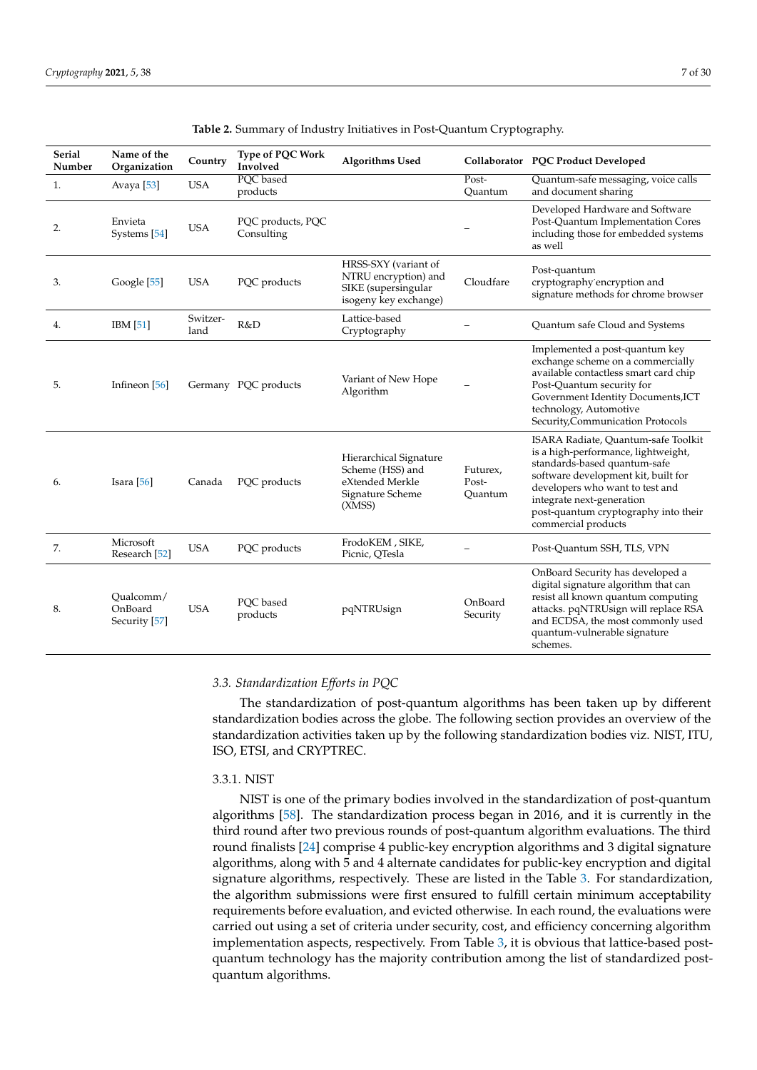<span id="page-6-0"></span>

| <b>Serial</b><br>Number | Name of the<br>Organization           | Country          | Type of PQC Work<br>Involved    | <b>Algorithms Used</b>                                                                       |                              | Collaborator PQC Product Developed                                                                                                                                                                                                                                               |
|-------------------------|---------------------------------------|------------------|---------------------------------|----------------------------------------------------------------------------------------------|------------------------------|----------------------------------------------------------------------------------------------------------------------------------------------------------------------------------------------------------------------------------------------------------------------------------|
| 1.                      | Avaya $[53]$                          | <b>USA</b>       | PQC based<br>products           |                                                                                              | Post-<br>Quantum             | Quantum-safe messaging, voice calls<br>and document sharing                                                                                                                                                                                                                      |
| 2.                      | Envieta<br>Systems [54]               | <b>USA</b>       | PQC products, PQC<br>Consulting |                                                                                              |                              | Developed Hardware and Software<br>Post-Quantum Implementation Cores<br>including those for embedded systems<br>as well                                                                                                                                                          |
| 3.                      | Google [55]                           | <b>USA</b>       | PQC products                    | HRSS-SXY (variant of<br>NTRU encryption) and<br>SIKE (supersingular<br>isogeny key exchange) | Cloudfare                    | Post-quantum<br>cryptography encryption and<br>signature methods for chrome browser                                                                                                                                                                                              |
| 4.                      | IBM [51]                              | Switzer-<br>land | R&D                             | Lattice-based<br>Cryptography                                                                |                              | Quantum safe Cloud and Systems                                                                                                                                                                                                                                                   |
| 5.                      | Infineon [56]                         |                  | Germany PQC products            | Variant of New Hope<br>Algorithm                                                             |                              | Implemented a post-quantum key<br>exchange scheme on a commercially<br>available contactless smart card chip<br>Post-Quantum security for<br>Government Identity Documents, ICT<br>technology, Automotive<br>Security, Communication Protocols                                   |
| 6.                      | Isara $[56]$                          | Canada           | PQC products                    | Hierarchical Signature<br>Scheme (HSS) and<br>eXtended Merkle<br>Signature Scheme<br>(XMSS)  | Futurex,<br>Post-<br>Quantum | ISARA Radiate, Quantum-safe Toolkit<br>is a high-performance, lightweight,<br>standards-based quantum-safe<br>software development kit, built for<br>developers who want to test and<br>integrate next-generation<br>post-quantum cryptography into their<br>commercial products |
| 7.                      | Microsoft<br>Research [52]            | <b>USA</b>       | PQC products                    | FrodoKEM, SIKE,<br>Picnic, QTesla                                                            |                              | Post-Quantum SSH, TLS, VPN                                                                                                                                                                                                                                                       |
| 8.                      | Qualcomm/<br>OnBoard<br>Security [57] | <b>USA</b>       | PQC based<br>products           | pqNTRUsign                                                                                   | OnBoard<br>Security          | OnBoard Security has developed a<br>digital signature algorithm that can<br>resist all known quantum computing<br>attacks. pqNTRUsign will replace RSA<br>and ECDSA, the most commonly used<br>quantum-vulnerable signature<br>schemes.                                          |

#### **Table 2.** Summary of Industry Initiatives in Post-Quantum Cryptography.

# *3.3. Standardization Efforts in PQC*

The standardization of post-quantum algorithms has been taken up by different standardization bodies across the globe. The following section provides an overview of the standardization activities taken up by the following standardization bodies viz. NIST, ITU, ISO, ETSI, and CRYPTREC.

#### 3.3.1. NIST

NIST is one of the primary bodies involved in the standardization of post-quantum algorithms [\[58\]](#page-26-23). The standardization process began in 2016, and it is currently in the third round after two previous rounds of post-quantum algorithm evaluations. The third round finalists [\[24\]](#page-25-22) comprise 4 public-key encryption algorithms and 3 digital signature algorithms, along with 5 and 4 alternate candidates for public-key encryption and digital signature algorithms, respectively. These are listed in the Table [3.](#page-7-0) For standardization, the algorithm submissions were first ensured to fulfill certain minimum acceptability requirements before evaluation, and evicted otherwise. In each round, the evaluations were carried out using a set of criteria under security, cost, and efficiency concerning algorithm implementation aspects, respectively. From Table [3,](#page-7-0) it is obvious that lattice-based postquantum technology has the majority contribution among the list of standardized postquantum algorithms.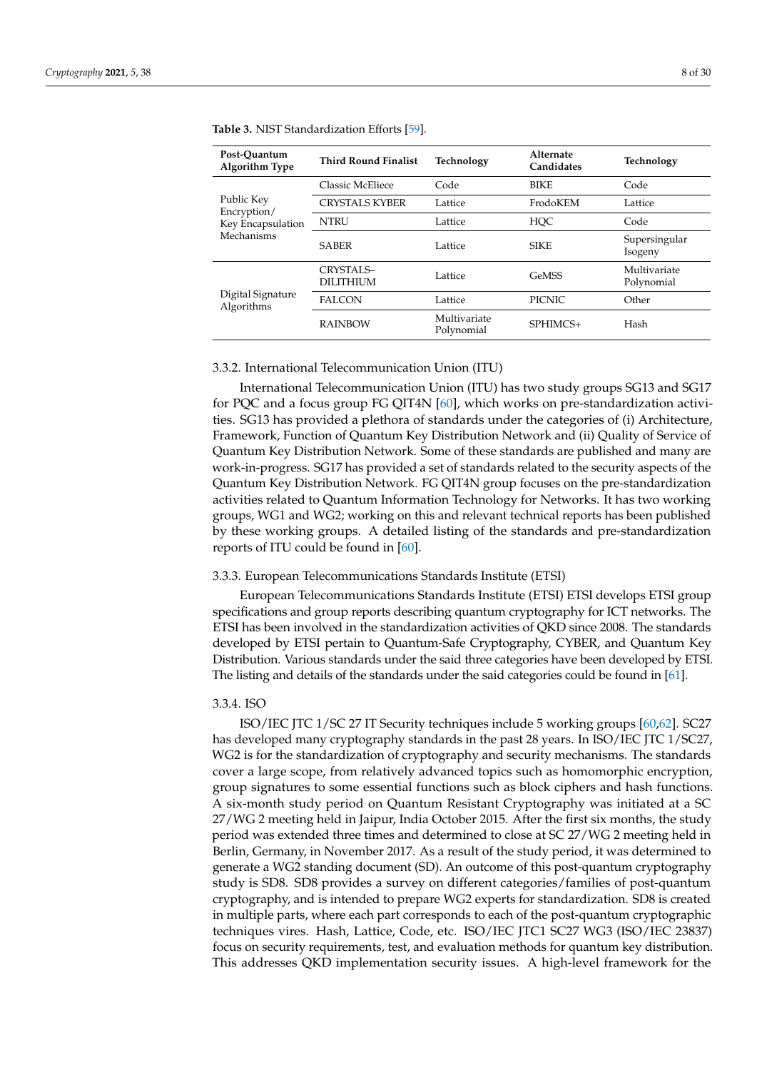| Post-Ouantum<br>Algorithm Type  | <b>Third Round Finalist</b>      | Technology                 | Alternate<br>Candidates | Technology                 |
|---------------------------------|----------------------------------|----------------------------|-------------------------|----------------------------|
|                                 | <b>Classic McEliece</b>          | Code                       | <b>BIKE</b>             | Code                       |
| Public Key<br>Encryption/       | <b>CRYSTALS KYBER</b><br>Lattice |                            | FrodoKEM                | Lattice                    |
| Key Encapsulation               | <b>NTRU</b><br>Lattice           |                            | <b>HOC</b>              | Code                       |
| Mechanisms                      | <b>SABER</b>                     | Lattice                    | <b>SIKE</b>             | Supersingular<br>Isogeny   |
|                                 | CRYSTALS-<br><b>DILITHIUM</b>    | Lattice                    | GeMSS                   | Multivariate<br>Polynomial |
| Digital Signature<br>Algorithms | <b>FALCON</b><br>Lattice         |                            | <b>PICNIC</b>           | Other                      |
|                                 | <b>RAINBOW</b>                   | Multivariate<br>Polynomial | SPHIMCS+                | Hash                       |

<span id="page-7-0"></span>**Table 3.** NIST Standardization Efforts [\[59\]](#page-26-24).

## 3.3.2. International Telecommunication Union (ITU)

International Telecommunication Union (ITU) has two study groups SG13 and SG17 for PQC and a focus group FG QIT4N [\[60\]](#page-26-25), which works on pre-standardization activities. SG13 has provided a plethora of standards under the categories of (i) Architecture, Framework, Function of Quantum Key Distribution Network and (ii) Quality of Service of Quantum Key Distribution Network. Some of these standards are published and many are work-in-progress. SG17 has provided a set of standards related to the security aspects of the Quantum Key Distribution Network. FG QIT4N group focuses on the pre-standardization activities related to Quantum Information Technology for Networks. It has two working groups, WG1 and WG2; working on this and relevant technical reports has been published by these working groups. A detailed listing of the standards and pre-standardization reports of ITU could be found in [\[60\]](#page-26-25).

#### 3.3.3. European Telecommunications Standards Institute (ETSI)

European Telecommunications Standards Institute (ETSI) ETSI develops ETSI group specifications and group reports describing quantum cryptography for ICT networks. The ETSI has been involved in the standardization activities of QKD since 2008. The standards developed by ETSI pertain to Quantum-Safe Cryptography, CYBER, and Quantum Key Distribution. Various standards under the said three categories have been developed by ETSI. The listing and details of the standards under the said categories could be found in [\[61\]](#page-26-26).

# 3.3.4. ISO

ISO/IEC JTC 1/SC 27 IT Security techniques include 5 working groups [\[60,](#page-26-25)[62\]](#page-26-27). SC27 has developed many cryptography standards in the past 28 years. In ISO/IEC JTC 1/SC27, WG2 is for the standardization of cryptography and security mechanisms. The standards cover a large scope, from relatively advanced topics such as homomorphic encryption, group signatures to some essential functions such as block ciphers and hash functions. A six-month study period on Quantum Resistant Cryptography was initiated at a SC 27/WG 2 meeting held in Jaipur, India October 2015. After the first six months, the study period was extended three times and determined to close at SC 27/WG 2 meeting held in Berlin, Germany, in November 2017. As a result of the study period, it was determined to generate a WG2 standing document (SD). An outcome of this post-quantum cryptography study is SD8. SD8 provides a survey on different categories/families of post-quantum cryptography, and is intended to prepare WG2 experts for standardization. SD8 is created in multiple parts, where each part corresponds to each of the post-quantum cryptographic techniques vires. Hash, Lattice, Code, etc. ISO/IEC JTC1 SC27 WG3 (ISO/IEC 23837) focus on security requirements, test, and evaluation methods for quantum key distribution. This addresses QKD implementation security issues. A high-level framework for the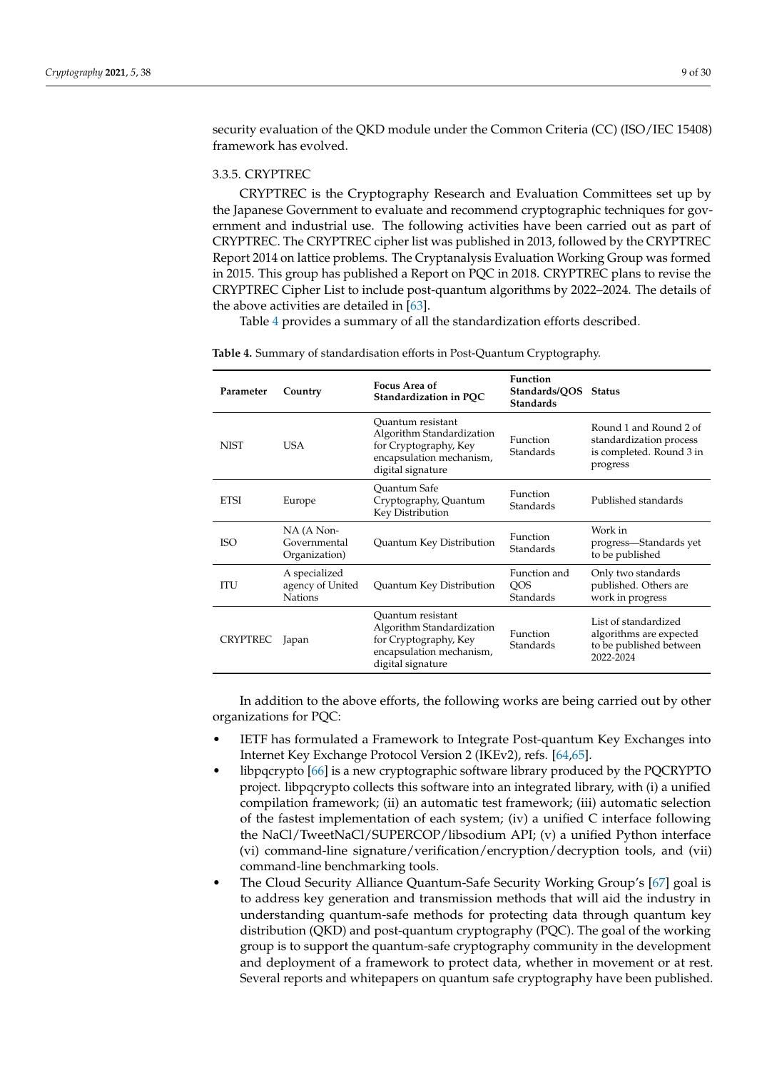security evaluation of the QKD module under the Common Criteria (CC) (ISO/IEC 15408) framework has evolved.

#### 3.3.5. CRYPTREC

CRYPTREC is the Cryptography Research and Evaluation Committees set up by the Japanese Government to evaluate and recommend cryptographic techniques for government and industrial use. The following activities have been carried out as part of CRYPTREC. The CRYPTREC cipher list was published in 2013, followed by the CRYPTREC Report 2014 on lattice problems. The Cryptanalysis Evaluation Working Group was formed in 2015. This group has published a Report on PQC in 2018. CRYPTREC plans to revise the CRYPTREC Cipher List to include post-quantum algorithms by 2022–2024. The details of the above activities are detailed in [\[63\]](#page-27-0).

Table [4](#page-8-0) provides a summary of all the standardization efforts described.

| Parameter       | Country                                             | Focus Area of<br>Standardization in PQC                                                                                  | <b>Function</b><br>Standards/OOS<br><b>Standards</b> | Status                                                                                    |  |  |
|-----------------|-----------------------------------------------------|--------------------------------------------------------------------------------------------------------------------------|------------------------------------------------------|-------------------------------------------------------------------------------------------|--|--|
| <b>NIST</b>     | <b>USA</b>                                          | Quantum resistant<br>Algorithm Standardization<br>for Cryptography, Key<br>encapsulation mechanism,<br>digital signature | Function<br>Standards                                | Round 1 and Round 2 of<br>standardization process<br>is completed. Round 3 in<br>progress |  |  |
| <b>ETSI</b>     | Europe                                              | <b>Ouantum Safe</b><br>Cryptography, Quantum<br>Key Distribution                                                         | Function<br>Standards                                | Published standards                                                                       |  |  |
| <b>ISO</b>      | NA (A Non-<br>Governmental<br>Organization)         | Quantum Key Distribution                                                                                                 | Function<br>Standards                                | Work in<br>progress—Standards yet<br>to be published                                      |  |  |
| <b>ITU</b>      | A specialized<br>agency of United<br><b>Nations</b> | Quantum Key Distribution                                                                                                 | Function and<br><b>OOS</b><br>Standards              | Only two standards<br>published. Others are<br>work in progress                           |  |  |
| <b>CRYPTREC</b> | Japan                                               | Quantum resistant<br>Algorithm Standardization<br>for Cryptography, Key<br>encapsulation mechanism,<br>digital signature | <b>Function</b><br><b>Standards</b>                  | List of standardized<br>algorithms are expected<br>to be published between<br>2022-2024   |  |  |

<span id="page-8-0"></span>**Table 4.** Summary of standardisation efforts in Post-Quantum Cryptography.

In addition to the above efforts, the following works are being carried out by other organizations for PQC:

- IETF has formulated a Framework to Integrate Post-quantum Key Exchanges into Internet Key Exchange Protocol Version 2 (IKEv2), refs. [\[64](#page-27-1)[,65\]](#page-27-2).
- libpqcrypto [\[66\]](#page-27-3) is a new cryptographic software library produced by the PQCRYPTO project. libpqcrypto collects this software into an integrated library, with (i) a unified compilation framework; (ii) an automatic test framework; (iii) automatic selection of the fastest implementation of each system; (iv) a unified C interface following the NaCl/TweetNaCl/SUPERCOP/libsodium API; (v) a unified Python interface (vi) command-line signature/verification/encryption/decryption tools, and (vii) command-line benchmarking tools.
- The Cloud Security Alliance Quantum-Safe Security Working Group's [\[67\]](#page-27-4) goal is to address key generation and transmission methods that will aid the industry in understanding quantum-safe methods for protecting data through quantum key distribution (QKD) and post-quantum cryptography (PQC). The goal of the working group is to support the quantum-safe cryptography community in the development and deployment of a framework to protect data, whether in movement or at rest. Several reports and whitepapers on quantum safe cryptography have been published.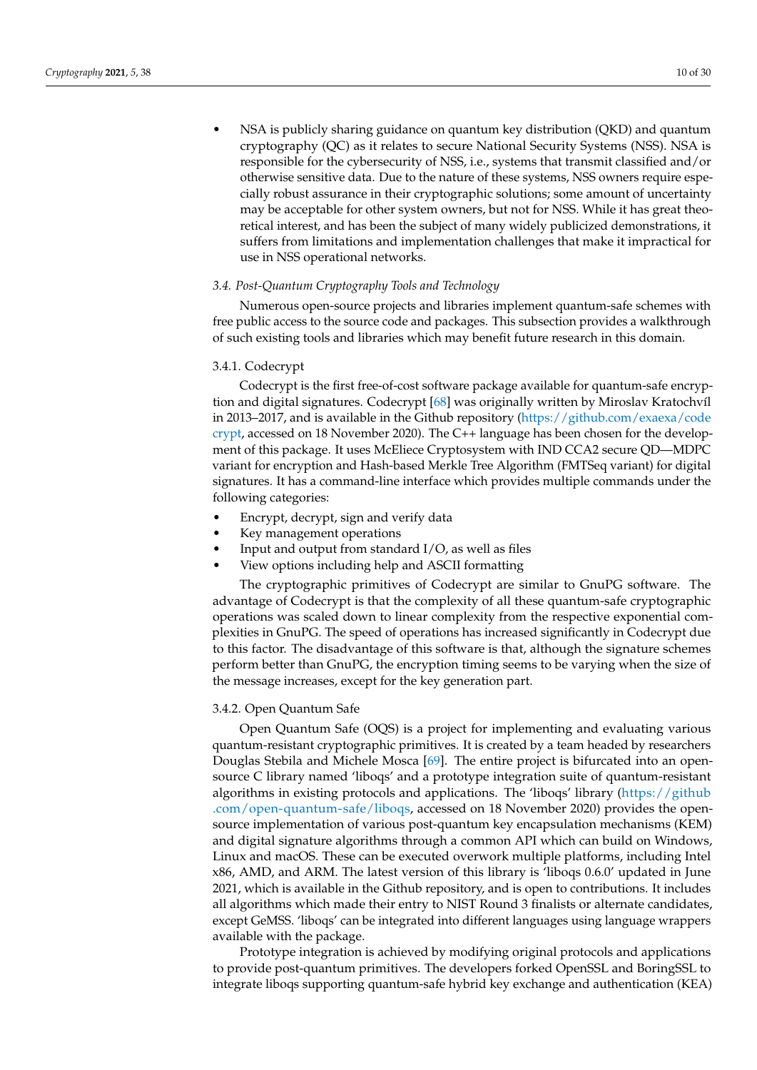• NSA is publicly sharing guidance on quantum key distribution (QKD) and quantum cryptography (QC) as it relates to secure National Security Systems (NSS). NSA is responsible for the cybersecurity of NSS, i.e., systems that transmit classified and/or otherwise sensitive data. Due to the nature of these systems, NSS owners require especially robust assurance in their cryptographic solutions; some amount of uncertainty may be acceptable for other system owners, but not for NSS. While it has great theoretical interest, and has been the subject of many widely publicized demonstrations, it suffers from limitations and implementation challenges that make it impractical for use in NSS operational networks.

## *3.4. Post-Quantum Cryptography Tools and Technology*

Numerous open-source projects and libraries implement quantum-safe schemes with free public access to the source code and packages. This subsection provides a walkthrough of such existing tools and libraries which may benefit future research in this domain.

# 3.4.1. Codecrypt

Codecrypt is the first free-of-cost software package available for quantum-safe encryption and digital signatures. Codecrypt [\[68\]](#page-27-5) was originally written by Miroslav Kratochvíl in 2013–2017, and is available in the Github repository [\(https://github.com/exaexa/code](https://github.com/exaexa/codecrypt) [crypt,](https://github.com/exaexa/codecrypt) accessed on 18 November 2020). The C++ language has been chosen for the development of this package. It uses McEliece Cryptosystem with IND CCA2 secure QD—MDPC variant for encryption and Hash-based Merkle Tree Algorithm (FMTSeq variant) for digital signatures. It has a command-line interface which provides multiple commands under the following categories:

- Encrypt, decrypt, sign and verify data
- Key management operations
- Input and output from standard  $I/O$ , as well as files
- View options including help and ASCII formatting

The cryptographic primitives of Codecrypt are similar to GnuPG software. The advantage of Codecrypt is that the complexity of all these quantum-safe cryptographic operations was scaled down to linear complexity from the respective exponential complexities in GnuPG. The speed of operations has increased significantly in Codecrypt due to this factor. The disadvantage of this software is that, although the signature schemes perform better than GnuPG, the encryption timing seems to be varying when the size of the message increases, except for the key generation part.

#### 3.4.2. Open Quantum Safe

Open Quantum Safe (OQS) is a project for implementing and evaluating various quantum-resistant cryptographic primitives. It is created by a team headed by researchers Douglas Stebila and Michele Mosca [\[69\]](#page-27-6). The entire project is bifurcated into an opensource C library named 'liboqs' and a prototype integration suite of quantum-resistant algorithms in existing protocols and applications. The 'liboqs' library [\(https://github](https://github.com/open-quantum-safe/liboqs) [.com/open-quantum-safe/liboqs,](https://github.com/open-quantum-safe/liboqs) accessed on 18 November 2020) provides the opensource implementation of various post-quantum key encapsulation mechanisms (KEM) and digital signature algorithms through a common API which can build on Windows, Linux and macOS. These can be executed overwork multiple platforms, including Intel x86, AMD, and ARM. The latest version of this library is 'liboqs 0.6.0' updated in June 2021, which is available in the Github repository, and is open to contributions. It includes all algorithms which made their entry to NIST Round 3 finalists or alternate candidates, except GeMSS. 'liboqs' can be integrated into different languages using language wrappers available with the package.

Prototype integration is achieved by modifying original protocols and applications to provide post-quantum primitives. The developers forked OpenSSL and BoringSSL to integrate liboqs supporting quantum-safe hybrid key exchange and authentication (KEA)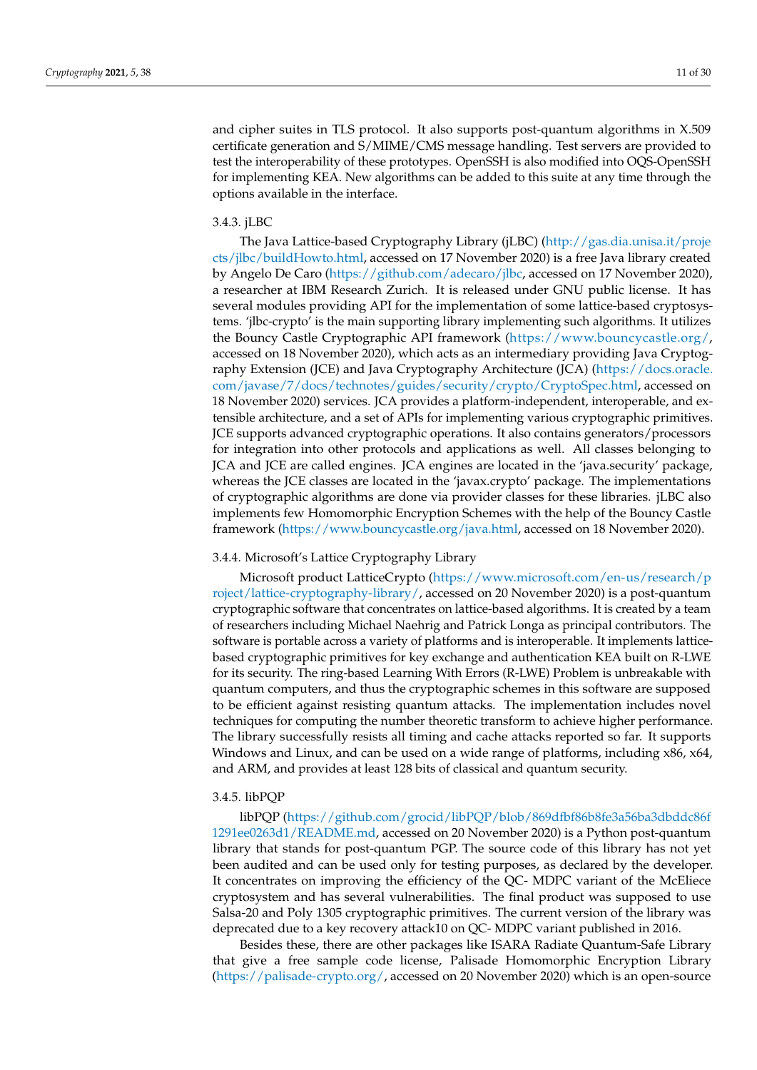and cipher suites in TLS protocol. It also supports post-quantum algorithms in X.509 certificate generation and S/MIME/CMS message handling. Test servers are provided to test the interoperability of these prototypes. OpenSSH is also modified into OQS-OpenSSH for implementing KEA. New algorithms can be added to this suite at any time through the options available in the interface.

#### 3.4.3. jLBC

The Java Lattice-based Cryptography Library (jLBC) [\(http://gas.dia.unisa.it/proje](http://gas.dia.unisa.it/projects/jlbc/buildHowto.html) [cts/jlbc/buildHowto.html,](http://gas.dia.unisa.it/projects/jlbc/buildHowto.html) accessed on 17 November 2020) is a free Java library created by Angelo De Caro [\(https://github.com/adecaro/jlbc,](https://github.com/adecaro/jlbc) accessed on 17 November 2020), a researcher at IBM Research Zurich. It is released under GNU public license. It has several modules providing API for the implementation of some lattice-based cryptosystems. 'jlbc-crypto' is the main supporting library implementing such algorithms. It utilizes the Bouncy Castle Cryptographic API framework [\(https://www.bouncycastle.org/,](https://www.bouncycastle.org/) accessed on 18 November 2020), which acts as an intermediary providing Java Cryptography Extension (JCE) and Java Cryptography Architecture (JCA) [\(https://docs.oracle.](https://docs.oracle.com/javase/7/docs/technotes/guides/security/crypto/CryptoSpec.html) [com/javase/7/docs/technotes/guides/security/crypto/CryptoSpec.html,](https://docs.oracle.com/javase/7/docs/technotes/guides/security/crypto/CryptoSpec.html) accessed on 18 November 2020) services. JCA provides a platform-independent, interoperable, and extensible architecture, and a set of APIs for implementing various cryptographic primitives. JCE supports advanced cryptographic operations. It also contains generators/processors for integration into other protocols and applications as well. All classes belonging to JCA and JCE are called engines. JCA engines are located in the 'java.security' package, whereas the JCE classes are located in the 'javax.crypto' package. The implementations of cryptographic algorithms are done via provider classes for these libraries. jLBC also implements few Homomorphic Encryption Schemes with the help of the Bouncy Castle framework [\(https://www.bouncycastle.org/java.html,](https://www.bouncycastle.org/java.html) accessed on 18 November 2020).

#### 3.4.4. Microsoft's Lattice Cryptography Library

Microsoft product LatticeCrypto [\(https://www.microsoft.com/en-us/research/p](https://www.microsoft.com/en-us/research/project/lattice-cryptography-library/) [roject/lattice-cryptography-library/,](https://www.microsoft.com/en-us/research/project/lattice-cryptography-library/) accessed on 20 November 2020) is a post-quantum cryptographic software that concentrates on lattice-based algorithms. It is created by a team of researchers including Michael Naehrig and Patrick Longa as principal contributors. The software is portable across a variety of platforms and is interoperable. It implements latticebased cryptographic primitives for key exchange and authentication KEA built on R-LWE for its security. The ring-based Learning With Errors (R-LWE) Problem is unbreakable with quantum computers, and thus the cryptographic schemes in this software are supposed to be efficient against resisting quantum attacks. The implementation includes novel techniques for computing the number theoretic transform to achieve higher performance. The library successfully resists all timing and cache attacks reported so far. It supports Windows and Linux, and can be used on a wide range of platforms, including x86, x64, and ARM, and provides at least 128 bits of classical and quantum security.

#### 3.4.5. libPQP

libPQP [\(https://github.com/grocid/libPQP/blob/869dfbf86b8fe3a56ba3dbddc86f](https://github.com/grocid/libPQP/blob/869dfbf86b8fe3a56ba3dbddc86f1291ee0263d1/README.md) [1291ee0263d1/README.md,](https://github.com/grocid/libPQP/blob/869dfbf86b8fe3a56ba3dbddc86f1291ee0263d1/README.md) accessed on 20 November 2020) is a Python post-quantum library that stands for post-quantum PGP. The source code of this library has not yet been audited and can be used only for testing purposes, as declared by the developer. It concentrates on improving the efficiency of the QC- MDPC variant of the McEliece cryptosystem and has several vulnerabilities. The final product was supposed to use Salsa-20 and Poly 1305 cryptographic primitives. The current version of the library was deprecated due to a key recovery attack10 on QC- MDPC variant published in 2016.

Besides these, there are other packages like ISARA Radiate Quantum-Safe Library that give a free sample code license, Palisade Homomorphic Encryption Library [\(https://palisade-crypto.org/,]( https://palisade-crypto.org/) accessed on 20 November 2020) which is an open-source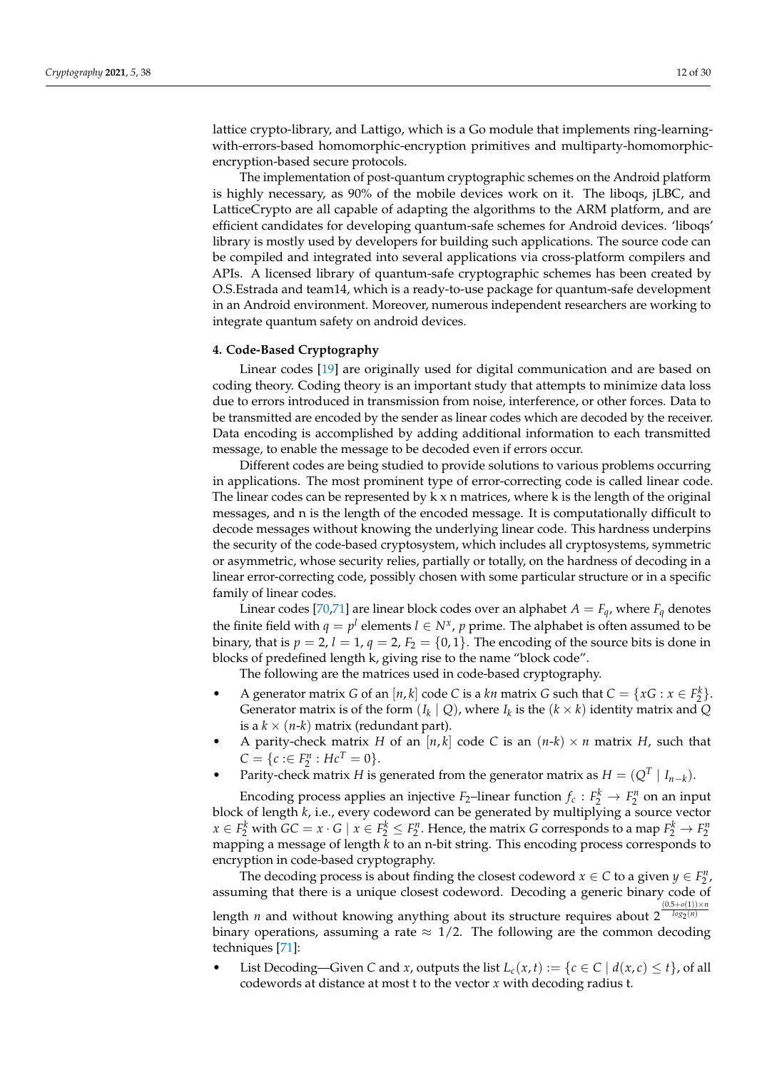lattice crypto-library, and Lattigo, which is a Go module that implements ring-learningwith-errors-based homomorphic-encryption primitives and multiparty-homomorphicencryption-based secure protocols.

The implementation of post-quantum cryptographic schemes on the Android platform is highly necessary, as 90% of the mobile devices work on it. The liboqs, jLBC, and LatticeCrypto are all capable of adapting the algorithms to the ARM platform, and are efficient candidates for developing quantum-safe schemes for Android devices. 'liboqs' library is mostly used by developers for building such applications. The source code can be compiled and integrated into several applications via cross-platform compilers and APIs. A licensed library of quantum-safe cryptographic schemes has been created by O.S.Estrada and team14, which is a ready-to-use package for quantum-safe development in an Android environment. Moreover, numerous independent researchers are working to integrate quantum safety on android devices.

#### <span id="page-11-0"></span>**4. Code-Based Cryptography**

Linear codes [\[19\]](#page-25-33) are originally used for digital communication and are based on coding theory. Coding theory is an important study that attempts to minimize data loss due to errors introduced in transmission from noise, interference, or other forces. Data to be transmitted are encoded by the sender as linear codes which are decoded by the receiver. Data encoding is accomplished by adding additional information to each transmitted message, to enable the message to be decoded even if errors occur.

Different codes are being studied to provide solutions to various problems occurring in applications. The most prominent type of error-correcting code is called linear code. The linear codes can be represented by  $k \times n$  matrices, where k is the length of the original messages, and n is the length of the encoded message. It is computationally difficult to decode messages without knowing the underlying linear code. This hardness underpins the security of the code-based cryptosystem, which includes all cryptosystems, symmetric or asymmetric, whose security relies, partially or totally, on the hardness of decoding in a linear error-correcting code, possibly chosen with some particular structure or in a specific family of linear codes.

Linear codes [\[70,](#page-27-7)[71\]](#page-27-8) are linear block codes over an alphabet  $A = F_a$ , where  $F_a$  denotes the finite field with  $q = p^l$  elements  $l \in N^x$ ,  $p$  prime. The alphabet is often assumed to be binary, that is  $p = 2$ ,  $l = 1$ ,  $q = 2$ ,  $F_2 = \{0, 1\}$ . The encoding of the source bits is done in blocks of predefined length k, giving rise to the name "block code".

The following are the matrices used in code-based cryptography.

- A generator matrix *G* of an  $[n, k]$  code *C* is a *kn* matrix *G* such that  $C = \{xG : x \in F_2^k\}.$ Generator matrix is of the form  $(I_k | Q)$ , where  $I_k$  is the  $(k \times k)$  identity matrix and  $Q$ is a  $k \times (n-k)$  matrix (redundant part).
- A parity-check matrix *H* of an  $[n, k]$  code *C* is an  $(n-k) \times n$  matrix *H*, such that  $C = \{c : \in F_2^n : Hc^T = 0\}.$
- Parity-check matrix *H* is generated from the generator matrix as  $H = (Q^T | I_{n-k})$ .

Encoding process applies an injective  $F_2$ –linear function  $f_c : F_2^k \to F_2^n$  on an input block of length *k*, i.e., every codeword can be generated by multiplying a source vector  $x \in F_2^k$  with  $GC = x \cdot G \mid x \in F_2^k \leq F_2^n$ . Hence, the matrix *G* corresponds to a map  $F_2^k \to F_2^n$ mapping a message of length *k* to an n-bit string. This encoding process corresponds to encryption in code-based cryptography.

The decoding process is about finding the closest codeword  $x \in C$  to a given  $y \in F_2^n$ , assuming that there is a unique closest codeword. Decoding a generic binary code of  $(0.5+o(1))\times n$ 

length *n* and without knowing anything about its structure requires about 2 <sup>log</sup>2<sup>(n)</sup> binary operations, assuming a rate  $\approx 1/2$ . The following are the common decoding techniques [\[71\]](#page-27-8):

List Decoding—Given *C* and *x*, outputs the list  $L_c(x, t) := \{c \in C \mid d(x, c) \le t\}$ , of all codewords at distance at most t to the vector *x* with decoding radius t.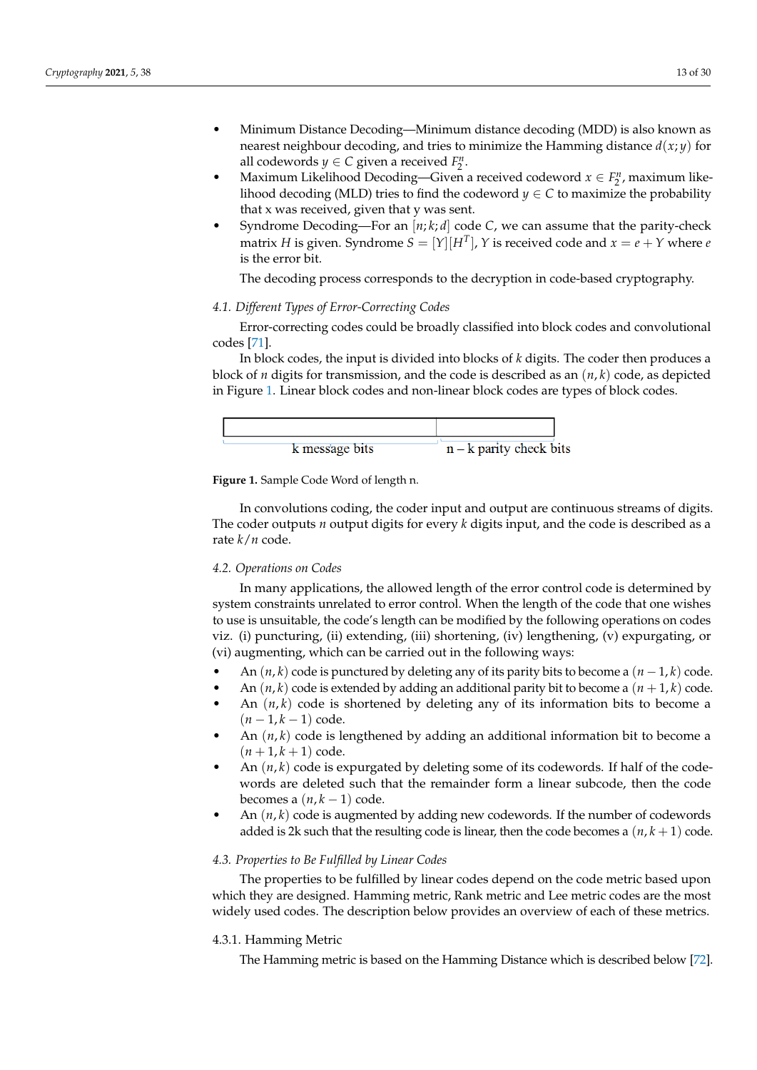- Minimum Distance Decoding—Minimum distance decoding (MDD) is also known as nearest neighbour decoding, and tries to minimize the Hamming distance  $d(x; y)$  for all codewords  $y \in C$  given a received  $F_2^n$ .
- Maximum Likelihood Decoding—Given a received codeword  $x \in F_2^n$ , maximum likelihood decoding (MLD) tries to find the codeword  $y \in C$  to maximize the probability that x was received, given that y was sent.
- Syndrome Decoding—For an [*n*; *k*; *d*] code *C*, we can assume that the parity-check matrix *H* is given. Syndrome  $S = [Y][H^T]$ ,  $Y$  is received code and  $x = e + Y$  where  $e$ is the error bit.

The decoding process corresponds to the decryption in code-based cryptography.

## *4.1. Different Types of Error-Correcting Codes*

Error-correcting codes could be broadly classified into block codes and convolutional codes [\[71\]](#page-27-8).

In block codes, the input is divided into blocks of *k* digits. The coder then produces a block of *n* digits for transmission, and the code is described as an (*n*, *k*) code, as depicted in Figure [1.](#page-12-0) Linear block codes and non-linear block codes are types of block codes.

<span id="page-12-0"></span>

**Figure 1.** Sample Code Word of length n.

In convolutions coding, the coder input and output are continuous streams of digits. The coder outputs *n* output digits for every *k* digits input, and the code is described as a rate *k*/*n* code.

#### <span id="page-12-1"></span>*4.2. Operations on Codes*

In many applications, the allowed length of the error control code is determined by system constraints unrelated to error control. When the length of the code that one wishes to use is unsuitable, the code's length can be modified by the following operations on codes viz. (i) puncturing, (ii) extending, (iii) shortening, (iv) lengthening, (v) expurgating, or (vi) augmenting, which can be carried out in the following ways:

- An  $(n, k)$  code is punctured by deleting any of its parity bits to become a  $(n 1, k)$  code.
- An  $(n, k)$  code is extended by adding an additional parity bit to become a  $(n + 1, k)$  code.
- An  $(n, k)$  code is shortened by deleting any of its information bits to become a  $(n-1, k-1)$  code.
- An (*n*, *k*) code is lengthened by adding an additional information bit to become a  $(n+1, k+1)$  code.
- An (*n*, *k*) code is expurgated by deleting some of its codewords. If half of the codewords are deleted such that the remainder form a linear subcode, then the code becomes a  $(n, k - 1)$  code.
- An  $(n, k)$  code is augmented by adding new codewords. If the number of codewords added is 2k such that the resulting code is linear, then the code becomes a  $(n, k + 1)$  code.

## *4.3. Properties to Be Fulfilled by Linear Codes*

The properties to be fulfilled by linear codes depend on the code metric based upon which they are designed. Hamming metric, Rank metric and Lee metric codes are the most widely used codes. The description below provides an overview of each of these metrics.

#### 4.3.1. Hamming Metric

The Hamming metric is based on the Hamming Distance which is described below [\[72\]](#page-27-9).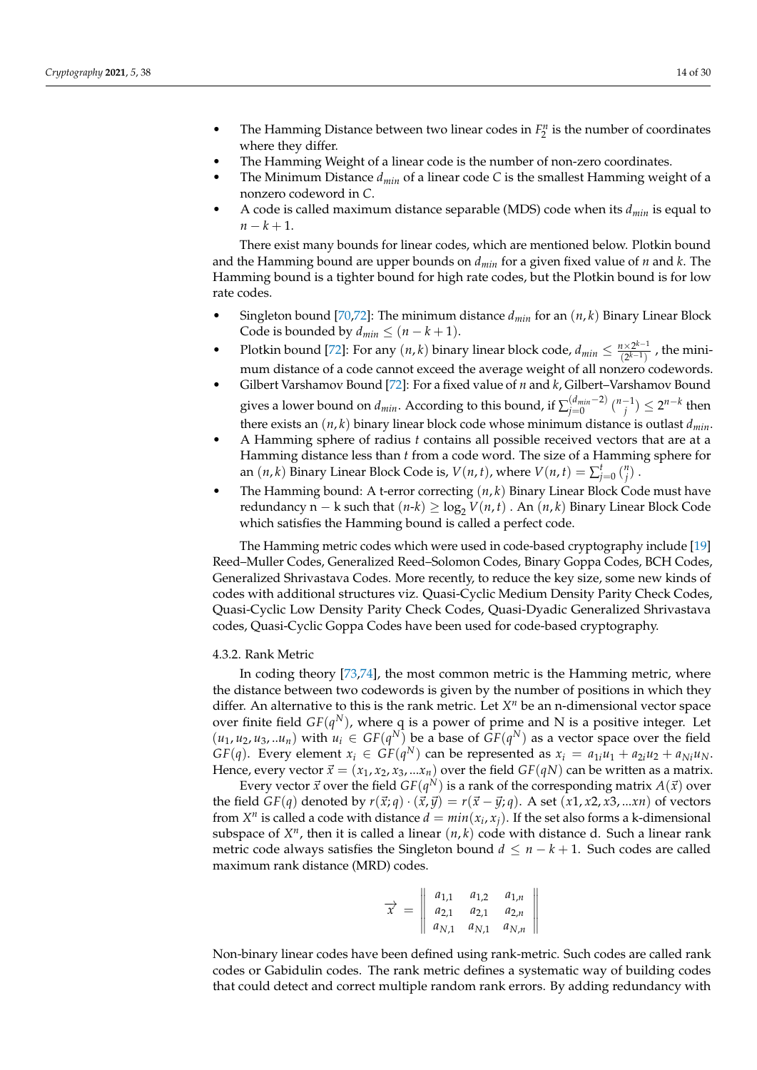- The Hamming Distance between two linear codes in  $F_2^n$  is the number of coordinates where they differ.
- The Hamming Weight of a linear code is the number of non-zero coordinates.
- The Minimum Distance *dmin* of a linear code *C* is the smallest Hamming weight of a nonzero codeword in *C*.
- A code is called maximum distance separable (MDS) code when its *dmin* is equal to  $n - k + 1$ .

There exist many bounds for linear codes, which are mentioned below. Plotkin bound and the Hamming bound are upper bounds on *dmin* for a given fixed value of *n* and *k*. The Hamming bound is a tighter bound for high rate codes, but the Plotkin bound is for low rate codes.

- Singleton bound [\[70,](#page-27-7)[72\]](#page-27-9): The minimum distance *dmin* for an (*n*, *k*) Binary Linear Block Code is bounded by  $d_{min} \leq (n - k + 1)$ .
- Plotkin bound [\[72\]](#page-27-9): For any  $(n, k)$  binary linear block code,  $d_{min} \leq \frac{n \times 2^{k-1}}{(2^{k-1})}$  $\frac{n \times 2^{n} - 1}{(2^{k-1})}$ , the minimum distance of a code cannot exceed the average weight of all nonzero codewords.
- Gilbert Varshamov Bound [\[72\]](#page-27-9): For a fixed value of *n* and *k*, Gilbert–Varshamov Bound gives a lower bound on  $d_{min}$ . According to this bound, if  $\sum_{j=0}^{(d_{min}-2)} \binom{n-1}{j} \leq 2^{n-k}$  then there exists an  $(n, k)$  binary linear block code whose minimum distance is outlast  $d_{min}$ .
- A Hamming sphere of radius *t* contains all possible received vectors that are at a Hamming distance less than *t* from a code word. The size of a Hamming sphere for an  $(n, k)$  Binary Linear Block Code is,  $V(n, t)$ , where  $V(n, t) = \sum_{j=0}^{t} {n \choose j}$ .
- The Hamming bound: A t-error correcting (*n*, *k*) Binary Linear Block Code must have redundancy n – k such that  $(n-k) \ge \log_2 V(n,t)$ . An  $(n, k)$  Binary Linear Block Code which satisfies the Hamming bound is called a perfect code.

The Hamming metric codes which were used in code-based cryptography include [\[19\]](#page-25-33) Reed–Muller Codes, Generalized Reed–Solomon Codes, Binary Goppa Codes, BCH Codes, Generalized Shrivastava Codes. More recently, to reduce the key size, some new kinds of codes with additional structures viz. Quasi-Cyclic Medium Density Parity Check Codes, Quasi-Cyclic Low Density Parity Check Codes, Quasi-Dyadic Generalized Shrivastava codes, Quasi-Cyclic Goppa Codes have been used for code-based cryptography.

#### 4.3.2. Rank Metric

In coding theory [\[73](#page-27-10)[,74\]](#page-27-11), the most common metric is the Hamming metric, where the distance between two codewords is given by the number of positions in which they differ. An alternative to this is the rank metric. Let  $X<sup>n</sup>$  be an n-dimensional vector space over finite field  $GF(q^N)$ , where q is a power of prime and N is a positive integer. Let  $(u_1, u_2, u_3, ... u_n)$  with  $u_i \in GF(q^N)$  be a base of  $GF(q^N)$  as a vector space over the field *GF*(*q*). Every element  $x_i \in GF(q^N)$  can be represented as  $x_i = a_{1i}u_1 + a_{2i}u_2 + a_{Ni}u_N$ . Hence, every vector  $\vec{x} = (x_1, x_2, x_3, ... x_n)$  over the field  $GF(qN)$  can be written as a matrix.

Every vector  $\vec{x}$  over the field  $GF(q^N)$  is a rank of the corresponding matrix  $A(\vec{x})$  over the field  $GF(q)$  denoted by  $r(\vec{x}; q) \cdot (\vec{x}, \vec{y}) = r(\vec{x} - \vec{y}; q)$ . A set  $(x1, x2, x3, ...xn)$  of vectors from  $X^n$  is called a code with distance  $d = min(x_i, x_j)$ . If the set also forms a k-dimensional subspace of  $X^n$ , then it is called a linear  $(n, k)$  code with distance d. Such a linear rank metric code always satisfies the Singleton bound  $d \leq n - k + 1$ . Such codes are called maximum rank distance (MRD) codes.

$$
\overrightarrow{x} = \begin{vmatrix} a_{1,1} & a_{1,2} & a_{1,n} \\ a_{2,1} & a_{2,1} & a_{2,n} \\ a_{N,1} & a_{N,1} & a_{N,n} \end{vmatrix}
$$

Non-binary linear codes have been defined using rank-metric. Such codes are called rank codes or Gabidulin codes. The rank metric defines a systematic way of building codes that could detect and correct multiple random rank errors. By adding redundancy with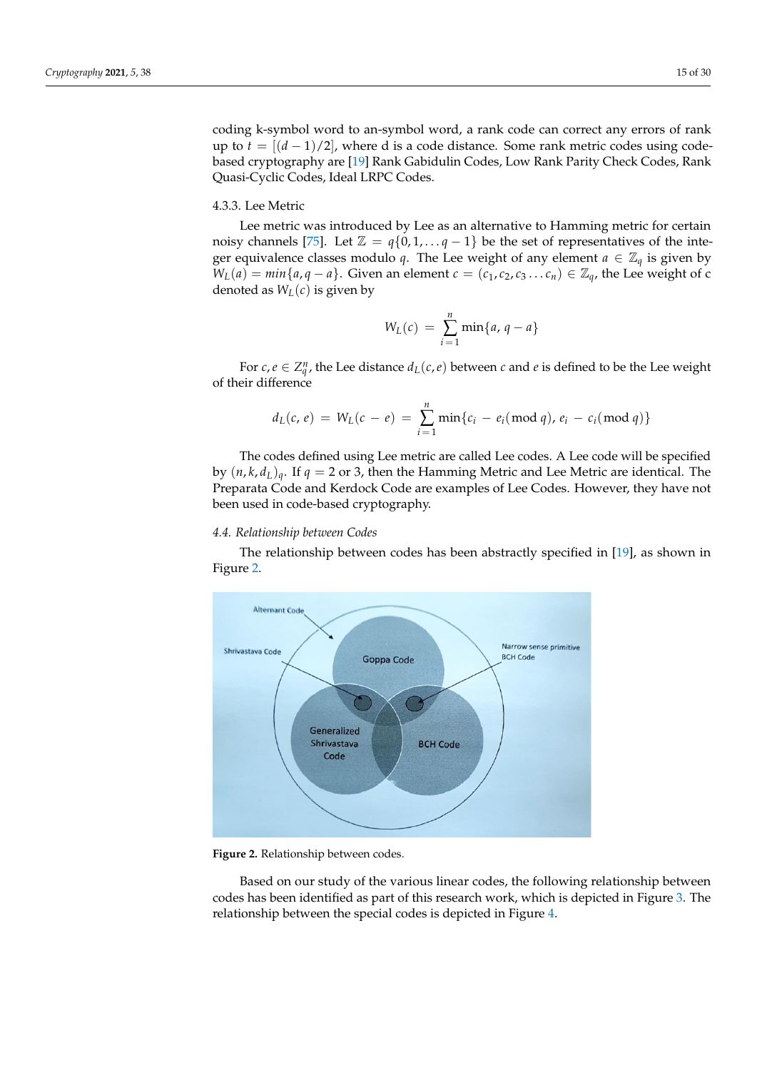coding k-symbol word to an-symbol word, a rank code can correct any errors of rank up to  $t = \frac{[(d-1)/2]}{k}$ , where d is a code distance. Some rank metric codes using codebased cryptography are [\[19\]](#page-25-33) Rank Gabidulin Codes, Low Rank Parity Check Codes, Rank Quasi-Cyclic Codes, Ideal LRPC Codes.

#### 4.3.3. Lee Metric

Lee metric was introduced by Lee as an alternative to Hamming metric for certain noisy channels [\[75\]](#page-27-12). Let  $\mathbb{Z} = q\{0, 1, \ldots, q-1\}$  be the set of representatives of the integer equivalence classes modulo *q*. The Lee weight of any element  $a \in \mathbb{Z}_q$  is given by *W*<sub>*L*</sub>(*a*) = *min*{*a*, *q* − *a*}. Given an element *c* = (*c*<sub>1</sub>, *c*<sub>2</sub>, *c*<sub>3</sub> . . . *c*<sub>*n*</sub>) ∈  $\mathbb{Z}_q$ , the Lee weight of c denoted as  $W_L(c)$  is given by

$$
W_L(c) = \sum_{i=1}^n \min\{a, q - a\}
$$

For  $c, e \in Z_q^n$ , the Lee distance  $d_L(c, e)$  between  $c$  and  $e$  is defined to be the Lee weight of their difference

$$
d_L(c, e) = W_L(c - e) = \sum_{i=1}^n \min\{c_i - e_i \pmod{q}, e_i - c_i \pmod{q}\}
$$

The codes defined using Lee metric are called Lee codes. A Lee code will be specified by  $(n, k, d<sub>L</sub>)<sub>q</sub>$ . If  $q = 2$  or 3, then the Hamming Metric and Lee Metric are identical. The Preparata Code and Kerdock Code are examples of Lee Codes. However, they have not been used in code-based cryptography.

# *4.4. Relationship between Codes*

The relationship between codes has been abstractly specified in [\[19\]](#page-25-33), as shown in Figure [2.](#page-14-0)

<span id="page-14-0"></span>

**Figure 2.** Relationship between codes.

Based on our study of the various linear codes, the following relationship between codes has been identified as part of this research work, which is depicted in Figure [3.](#page-15-0) The relationship between the special codes is depicted in Figure [4.](#page-16-0)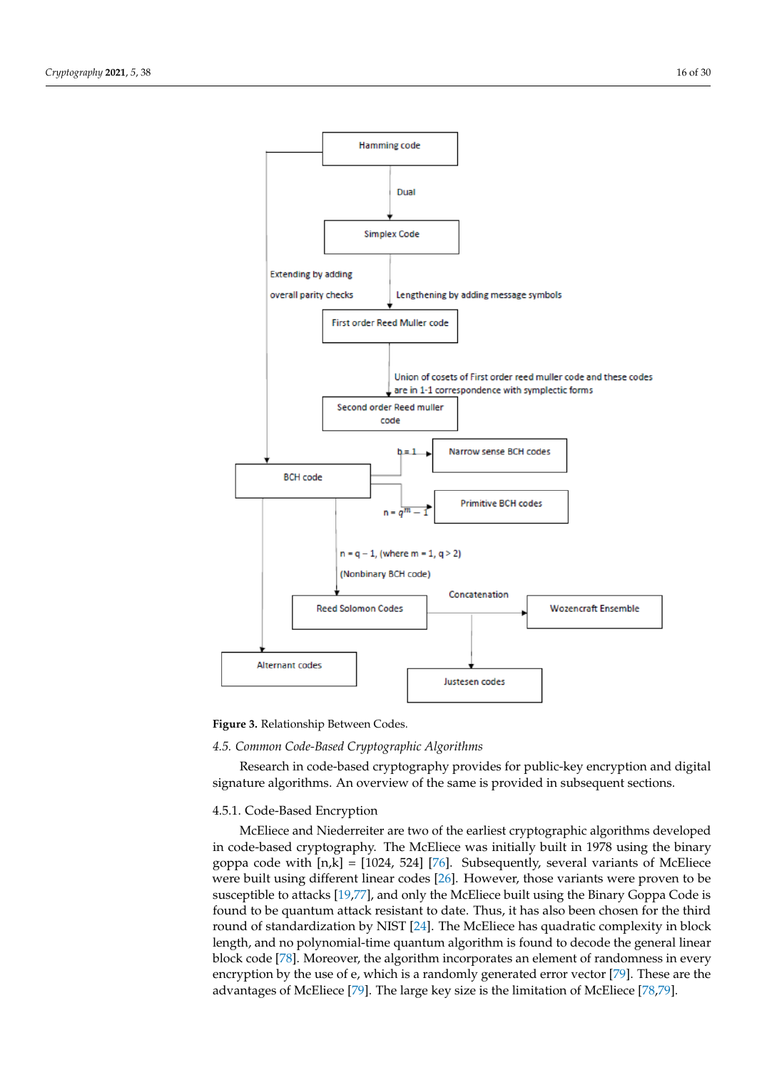<span id="page-15-0"></span>

**Figure 3.** Relationship Between Codes.

#### *4.5. Common Code-Based Cryptographic Algorithms*

Research in code-based cryptography provides for public-key encryption and digital signature algorithms. An overview of the same is provided in subsequent sections.

## 4.5.1. Code-Based Encryption

McEliece and Niederreiter are two of the earliest cryptographic algorithms developed in code-based cryptography. The McEliece was initially built in 1978 using the binary goppa code with  $[n,k] = [1024, 524]$  [\[76\]](#page-27-13). Subsequently, several variants of McEliece were built using different linear codes [\[26\]](#page-25-24). However, those variants were proven to be susceptible to attacks [\[19](#page-25-33)[,77\]](#page-27-14), and only the McEliece built using the Binary Goppa Code is found to be quantum attack resistant to date. Thus, it has also been chosen for the third round of standardization by NIST [\[24\]](#page-25-22). The McEliece has quadratic complexity in block length, and no polynomial-time quantum algorithm is found to decode the general linear block code [\[78\]](#page-27-15). Moreover, the algorithm incorporates an element of randomness in every encryption by the use of e, which is a randomly generated error vector [\[79\]](#page-27-16). These are the advantages of McEliece [\[79\]](#page-27-16). The large key size is the limitation of McEliece [\[78,](#page-27-15)[79\]](#page-27-16).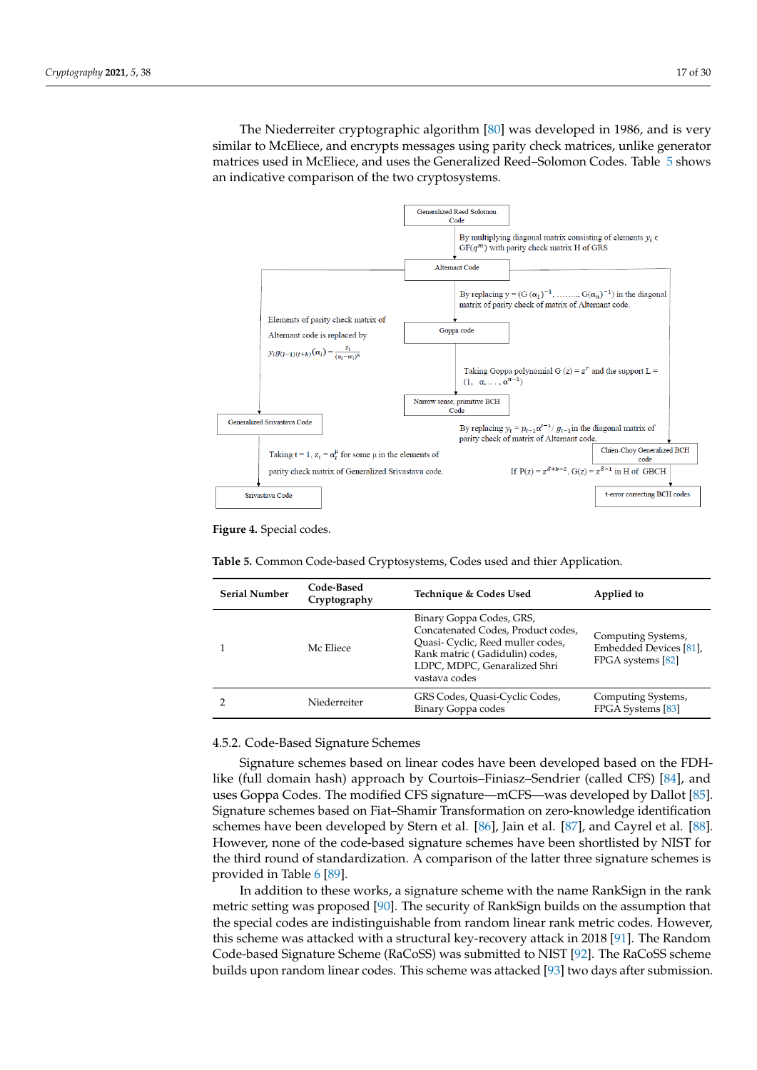The Niederreiter cryptographic algorithm [\[80\]](#page-27-17) was developed in 1986, and is very similar to McEliece, and encrypts messages using parity check matrices, unlike generator matrices used in McEliece, and uses the Generalized Reed–Solomon Codes. Table [5](#page-16-1) shows an indicative comparison of the two cryptosystems.

<span id="page-16-0"></span>

**Figure 4.** Special codes.

<span id="page-16-1"></span>**Table 5.** Common Code-based Cryptosystems, Codes used and thier Application.

| Code-Based<br><b>Serial Number</b><br>Cryptography |              | Technique & Codes Used                                                                                                                                                                 | Applied to                                                        |  |  |  |
|----------------------------------------------------|--------------|----------------------------------------------------------------------------------------------------------------------------------------------------------------------------------------|-------------------------------------------------------------------|--|--|--|
|                                                    | Mc Eliece    | Binary Goppa Codes, GRS,<br>Concatenated Codes, Product codes,<br>Quasi- Cyclic, Reed muller codes,<br>Rank matric (Gadidulin) codes,<br>LDPC, MDPC, Genaralized Shri<br>vastava codes | Computing Systems,<br>Embedded Devices [81].<br>FPGA systems [82] |  |  |  |
|                                                    | Niederreiter | GRS Codes, Quasi-Cyclic Codes,<br>Binary Goppa codes                                                                                                                                   | Computing Systems,<br>FPGA Systems [83]                           |  |  |  |

4.5.2. Code-Based Signature Schemes

Signature schemes based on linear codes have been developed based on the FDHlike (full domain hash) approach by Courtois–Finiasz–Sendrier (called CFS) [\[84\]](#page-27-21), and uses Goppa Codes. The modified CFS signature—mCFS—was developed by Dallot [\[85\]](#page-27-22). Signature schemes based on Fiat–Shamir Transformation on zero-knowledge identification schemes have been developed by Stern et al. [\[86\]](#page-27-23), Jain et al. [\[87\]](#page-27-24), and Cayrel et al. [\[88\]](#page-27-25). However, none of the code-based signature schemes have been shortlisted by NIST for the third round of standardization. A comparison of the latter three signature schemes is provided in Table [6](#page-17-0) [\[89\]](#page-27-26).

In addition to these works, a signature scheme with the name RankSign in the rank metric setting was proposed [\[90\]](#page-27-27). The security of RankSign builds on the assumption that the special codes are indistinguishable from random linear rank metric codes. However, this scheme was attacked with a structural key-recovery attack in 2018 [\[91\]](#page-27-28). The Random Code-based Signature Scheme (RaCoSS) was submitted to NIST [\[92\]](#page-27-29). The RaCoSS scheme builds upon random linear codes. This scheme was attacked [\[93\]](#page-28-0) two days after submission.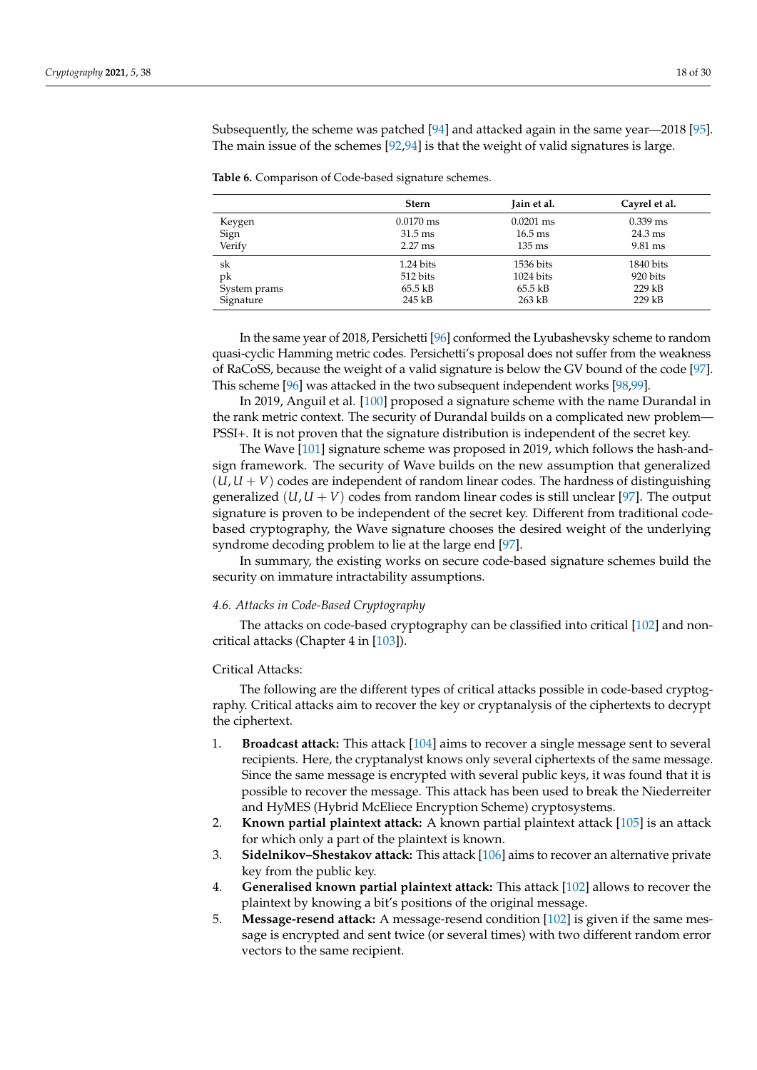Subsequently, the scheme was patched [\[94\]](#page-28-1) and attacked again in the same year—2018 [\[95\]](#page-28-2). The main issue of the schemes [\[92,](#page-27-29)[94\]](#page-28-1) is that the weight of valid signatures is large.

<span id="page-17-0"></span>**Table 6.** Comparison of Code-based signature schemes.

|              | <b>Stern</b>        | Jain et al.       | Cayrel et al.     |
|--------------|---------------------|-------------------|-------------------|
| Keygen       | $0.0170 \text{ ms}$ | $0.0201$ ms       | $0.339$ ms        |
| Sign         | $31.5 \text{ ms}$   | $16.5 \text{ ms}$ | $24.3 \text{ ms}$ |
| Verify       | $2.27$ ms           | $135 \text{ ms}$  | $9.81$ ms         |
| sk           | 1.24 bits           | 1536 bits         | 1840 bits         |
| pk           | 512 bits            | 1024 bits         | 920 bits          |
| System prams | $65.5$ kB           | 65.5 kB           | $229$ kB          |
| Signature    | 245 kB              | $263$ kB          | $229$ kB          |

In the same year of 2018, Persichetti [\[96\]](#page-28-3) conformed the Lyubashevsky scheme to random quasi-cyclic Hamming metric codes. Persichetti's proposal does not suffer from the weakness of RaCoSS, because the weight of a valid signature is below the GV bound of the code [\[97\]](#page-28-4). This scheme [\[96\]](#page-28-3) was attacked in the two subsequent independent works [\[98](#page-28-5)[,99\]](#page-28-6).

In 2019, Anguil et al. [\[100\]](#page-28-7) proposed a signature scheme with the name Durandal in the rank metric context. The security of Durandal builds on a complicated new problem— PSSI+. It is not proven that the signature distribution is independent of the secret key.

The Wave [\[101\]](#page-28-8) signature scheme was proposed in 2019, which follows the hash-andsign framework. The security of Wave builds on the new assumption that generalized  $(U, U + V)$  codes are independent of random linear codes. The hardness of distinguishing generalized  $(U, U + V)$  codes from random linear codes is still unclear [\[97\]](#page-28-4). The output signature is proven to be independent of the secret key. Different from traditional codebased cryptography, the Wave signature chooses the desired weight of the underlying syndrome decoding problem to lie at the large end [\[97\]](#page-28-4).

In summary, the existing works on secure code-based signature schemes build the security on immature intractability assumptions.

## *4.6. Attacks in Code-Based Cryptography*

The attacks on code-based cryptography can be classified into critical [\[102\]](#page-28-9) and noncritical attacks (Chapter 4 in [\[103\]](#page-28-10)).

#### Critical Attacks:

The following are the different types of critical attacks possible in code-based cryptography. Critical attacks aim to recover the key or cryptanalysis of the ciphertexts to decrypt the ciphertext.

- 1. **Broadcast attack:** This attack [\[104\]](#page-28-11) aims to recover a single message sent to several recipients. Here, the cryptanalyst knows only several ciphertexts of the same message. Since the same message is encrypted with several public keys, it was found that it is possible to recover the message. This attack has been used to break the Niederreiter and HyMES (Hybrid McEliece Encryption Scheme) cryptosystems.
- 2. **Known partial plaintext attack:** A known partial plaintext attack [\[105\]](#page-28-12) is an attack for which only a part of the plaintext is known.
- 3. **Sidelnikov–Shestakov attack:** This attack [\[106\]](#page-28-13) aims to recover an alternative private key from the public key.
- 4. **Generalised known partial plaintext attack:** This attack [\[102\]](#page-28-9) allows to recover the plaintext by knowing a bit's positions of the original message.
- 5. **Message-resend attack:** A message-resend condition [\[102\]](#page-28-9) is given if the same message is encrypted and sent twice (or several times) with two different random error vectors to the same recipient.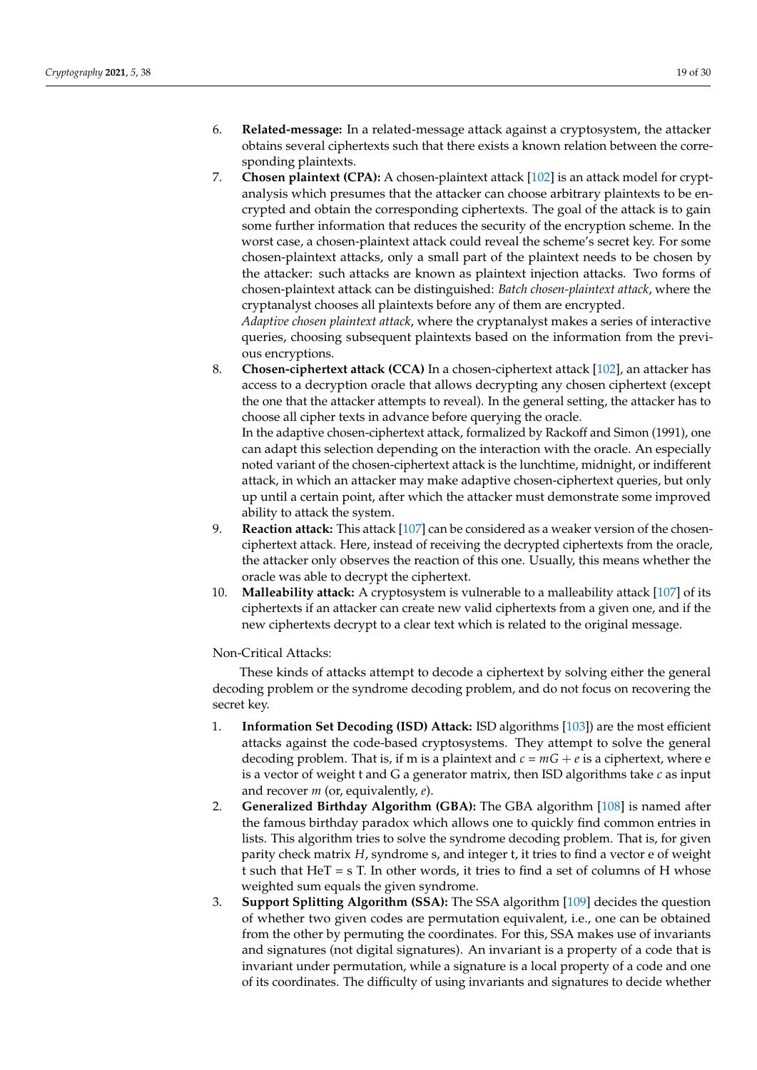- 6. **Related-message:** In a related-message attack against a cryptosystem, the attacker obtains several ciphertexts such that there exists a known relation between the corresponding plaintexts.
- 7. **Chosen plaintext (CPA):** A chosen-plaintext attack [\[102\]](#page-28-9) is an attack model for cryptanalysis which presumes that the attacker can choose arbitrary plaintexts to be encrypted and obtain the corresponding ciphertexts. The goal of the attack is to gain some further information that reduces the security of the encryption scheme. In the worst case, a chosen-plaintext attack could reveal the scheme's secret key. For some chosen-plaintext attacks, only a small part of the plaintext needs to be chosen by the attacker: such attacks are known as plaintext injection attacks. Two forms of chosen-plaintext attack can be distinguished: *Batch chosen-plaintext attack*, where the cryptanalyst chooses all plaintexts before any of them are encrypted.

*Adaptive chosen plaintext attack*, where the cryptanalyst makes a series of interactive queries, choosing subsequent plaintexts based on the information from the previous encryptions.

8. **Chosen-ciphertext attack (CCA)** In a chosen-ciphertext attack [\[102\]](#page-28-9), an attacker has access to a decryption oracle that allows decrypting any chosen ciphertext (except the one that the attacker attempts to reveal). In the general setting, the attacker has to choose all cipher texts in advance before querying the oracle.

In the adaptive chosen-ciphertext attack, formalized by Rackoff and Simon (1991), one can adapt this selection depending on the interaction with the oracle. An especially noted variant of the chosen-ciphertext attack is the lunchtime, midnight, or indifferent attack, in which an attacker may make adaptive chosen-ciphertext queries, but only up until a certain point, after which the attacker must demonstrate some improved ability to attack the system.

- 9. **Reaction attack:** This attack [\[107\]](#page-28-14) can be considered as a weaker version of the chosenciphertext attack. Here, instead of receiving the decrypted ciphertexts from the oracle, the attacker only observes the reaction of this one. Usually, this means whether the oracle was able to decrypt the ciphertext.
- 10. **Malleability attack:** A cryptosystem is vulnerable to a malleability attack [\[107\]](#page-28-14) of its ciphertexts if an attacker can create new valid ciphertexts from a given one, and if the new ciphertexts decrypt to a clear text which is related to the original message.

Non-Critical Attacks:

These kinds of attacks attempt to decode a ciphertext by solving either the general decoding problem or the syndrome decoding problem, and do not focus on recovering the secret key.

- 1. **Information Set Decoding (ISD) Attack:** ISD algorithms [\[103\]](#page-28-10)) are the most efficient attacks against the code-based cryptosystems. They attempt to solve the general decoding problem. That is, if m is a plaintext and  $c = mG + e$  is a ciphertext, where e is a vector of weight t and G a generator matrix, then ISD algorithms take *c* as input and recover *m* (or, equivalently, *e*).
- 2. **Generalized Birthday Algorithm (GBA):** The GBA algorithm [\[108\]](#page-28-15) is named after the famous birthday paradox which allows one to quickly find common entries in lists. This algorithm tries to solve the syndrome decoding problem. That is, for given parity check matrix *H*, syndrome s, and integer t, it tries to find a vector e of weight t such that  $HeT = sT$ . In other words, it tries to find a set of columns of H whose weighted sum equals the given syndrome.
- 3. **Support Splitting Algorithm (SSA):** The SSA algorithm [\[109\]](#page-28-16) decides the question of whether two given codes are permutation equivalent, i.e., one can be obtained from the other by permuting the coordinates. For this, SSA makes use of invariants and signatures (not digital signatures). An invariant is a property of a code that is invariant under permutation, while a signature is a local property of a code and one of its coordinates. The difficulty of using invariants and signatures to decide whether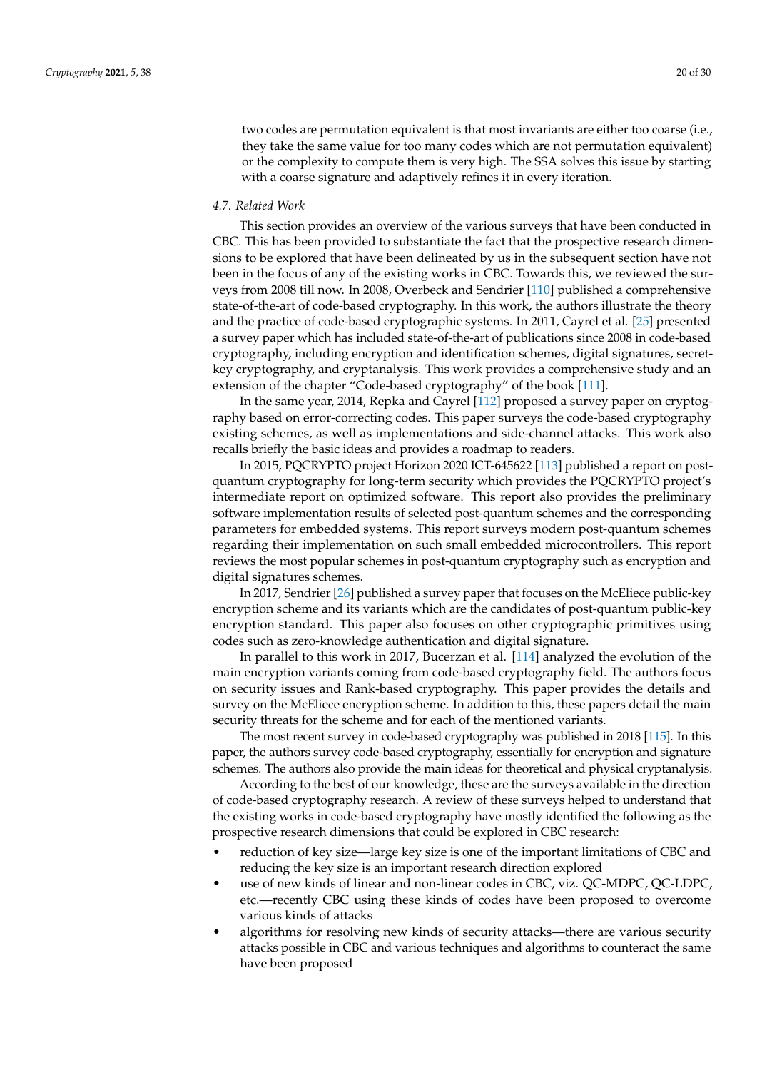two codes are permutation equivalent is that most invariants are either too coarse (i.e., they take the same value for too many codes which are not permutation equivalent) or the complexity to compute them is very high. The SSA solves this issue by starting with a coarse signature and adaptively refines it in every iteration.

#### *4.7. Related Work*

This section provides an overview of the various surveys that have been conducted in CBC. This has been provided to substantiate the fact that the prospective research dimensions to be explored that have been delineated by us in the subsequent section have not been in the focus of any of the existing works in CBC. Towards this, we reviewed the surveys from 2008 till now. In 2008, Overbeck and Sendrier [\[110\]](#page-28-17) published a comprehensive state-of-the-art of code-based cryptography. In this work, the authors illustrate the theory and the practice of code-based cryptographic systems. In 2011, Cayrel et al. [\[25\]](#page-25-23) presented a survey paper which has included state-of-the-art of publications since 2008 in code-based cryptography, including encryption and identification schemes, digital signatures, secretkey cryptography, and cryptanalysis. This work provides a comprehensive study and an extension of the chapter "Code-based cryptography" of the book [\[111\]](#page-28-18).

In the same year, 2014, Repka and Cayrel [\[112\]](#page-28-19) proposed a survey paper on cryptography based on error-correcting codes. This paper surveys the code-based cryptography existing schemes, as well as implementations and side-channel attacks. This work also recalls briefly the basic ideas and provides a roadmap to readers.

In 2015, PQCRYPTO project Horizon 2020 ICT-645622 [\[113\]](#page-28-20) published a report on postquantum cryptography for long-term security which provides the PQCRYPTO project's intermediate report on optimized software. This report also provides the preliminary software implementation results of selected post-quantum schemes and the corresponding parameters for embedded systems. This report surveys modern post-quantum schemes regarding their implementation on such small embedded microcontrollers. This report reviews the most popular schemes in post-quantum cryptography such as encryption and digital signatures schemes.

In 2017, Sendrier [\[26\]](#page-25-24) published a survey paper that focuses on the McEliece public-key encryption scheme and its variants which are the candidates of post-quantum public-key encryption standard. This paper also focuses on other cryptographic primitives using codes such as zero-knowledge authentication and digital signature.

In parallel to this work in 2017, Bucerzan et al. [\[114\]](#page-28-21) analyzed the evolution of the main encryption variants coming from code-based cryptography field. The authors focus on security issues and Rank-based cryptography. This paper provides the details and survey on the McEliece encryption scheme. In addition to this, these papers detail the main security threats for the scheme and for each of the mentioned variants.

The most recent survey in code-based cryptography was published in 2018 [\[115\]](#page-28-22). In this paper, the authors survey code-based cryptography, essentially for encryption and signature schemes. The authors also provide the main ideas for theoretical and physical cryptanalysis.

According to the best of our knowledge, these are the surveys available in the direction of code-based cryptography research. A review of these surveys helped to understand that the existing works in code-based cryptography have mostly identified the following as the prospective research dimensions that could be explored in CBC research:

- reduction of key size—large key size is one of the important limitations of CBC and reducing the key size is an important research direction explored
- use of new kinds of linear and non-linear codes in CBC, viz. QC-MDPC, QC-LDPC, etc.—recently CBC using these kinds of codes have been proposed to overcome various kinds of attacks
- algorithms for resolving new kinds of security attacks—there are various security attacks possible in CBC and various techniques and algorithms to counteract the same have been proposed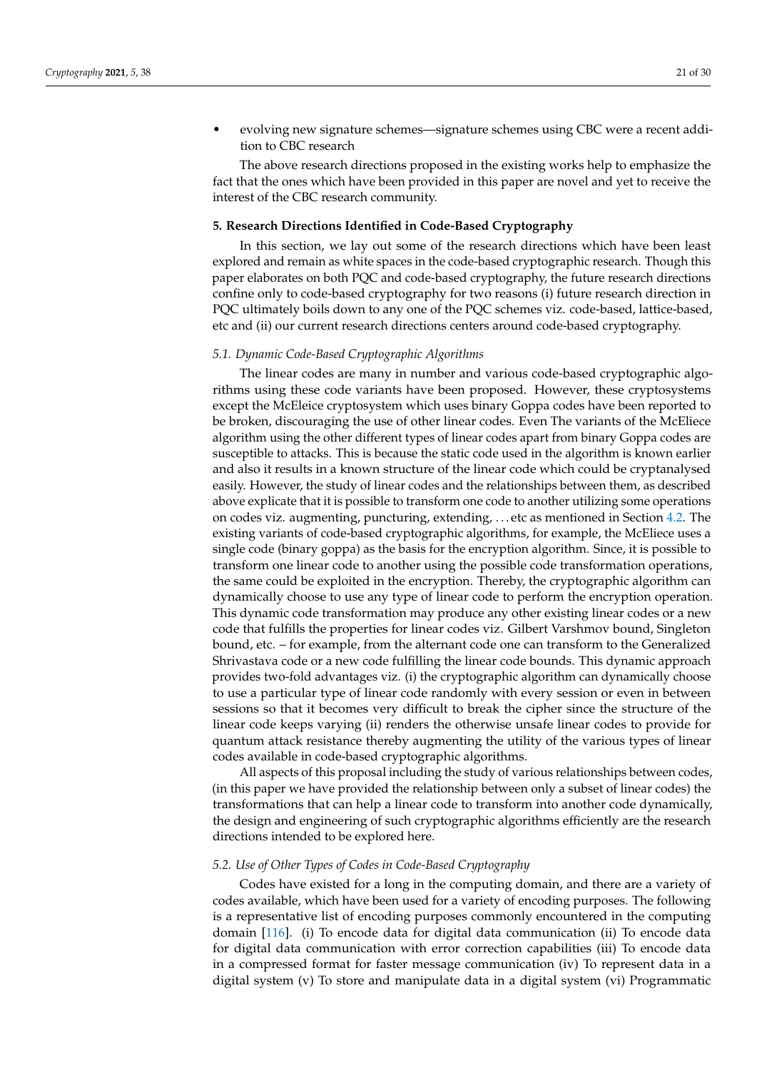• evolving new signature schemes—signature schemes using CBC were a recent addition to CBC research

The above research directions proposed in the existing works help to emphasize the fact that the ones which have been provided in this paper are novel and yet to receive the interest of the CBC research community.

#### <span id="page-20-0"></span>**5. Research Directions Identified in Code-Based Cryptography**

In this section, we lay out some of the research directions which have been least explored and remain as white spaces in the code-based cryptographic research. Though this paper elaborates on both PQC and code-based cryptography, the future research directions confine only to code-based cryptography for two reasons (i) future research direction in PQC ultimately boils down to any one of the PQC schemes viz. code-based, lattice-based, etc and (ii) our current research directions centers around code-based cryptography.

#### *5.1. Dynamic Code-Based Cryptographic Algorithms*

The linear codes are many in number and various code-based cryptographic algorithms using these code variants have been proposed. However, these cryptosystems except the McEleice cryptosystem which uses binary Goppa codes have been reported to be broken, discouraging the use of other linear codes. Even The variants of the McEliece algorithm using the other different types of linear codes apart from binary Goppa codes are susceptible to attacks. This is because the static code used in the algorithm is known earlier and also it results in a known structure of the linear code which could be cryptanalysed easily. However, the study of linear codes and the relationships between them, as described above explicate that it is possible to transform one code to another utilizing some operations on codes viz. augmenting, puncturing, extending, . . . etc as mentioned in Section [4.2.](#page-12-1) The existing variants of code-based cryptographic algorithms, for example, the McEliece uses a single code (binary goppa) as the basis for the encryption algorithm. Since, it is possible to transform one linear code to another using the possible code transformation operations, the same could be exploited in the encryption. Thereby, the cryptographic algorithm can dynamically choose to use any type of linear code to perform the encryption operation. This dynamic code transformation may produce any other existing linear codes or a new code that fulfills the properties for linear codes viz. Gilbert Varshmov bound, Singleton bound, etc. – for example, from the alternant code one can transform to the Generalized Shrivastava code or a new code fulfilling the linear code bounds. This dynamic approach provides two-fold advantages viz. (i) the cryptographic algorithm can dynamically choose to use a particular type of linear code randomly with every session or even in between sessions so that it becomes very difficult to break the cipher since the structure of the linear code keeps varying (ii) renders the otherwise unsafe linear codes to provide for quantum attack resistance thereby augmenting the utility of the various types of linear codes available in code-based cryptographic algorithms.

All aspects of this proposal including the study of various relationships between codes, (in this paper we have provided the relationship between only a subset of linear codes) the transformations that can help a linear code to transform into another code dynamically, the design and engineering of such cryptographic algorithms efficiently are the research directions intended to be explored here.

#### *5.2. Use of Other Types of Codes in Code-Based Cryptography*

Codes have existed for a long in the computing domain, and there are a variety of codes available, which have been used for a variety of encoding purposes. The following is a representative list of encoding purposes commonly encountered in the computing domain [\[116\]](#page-28-23). (i) To encode data for digital data communication (ii) To encode data for digital data communication with error correction capabilities (iii) To encode data in a compressed format for faster message communication (iv) To represent data in a digital system (v) To store and manipulate data in a digital system (vi) Programmatic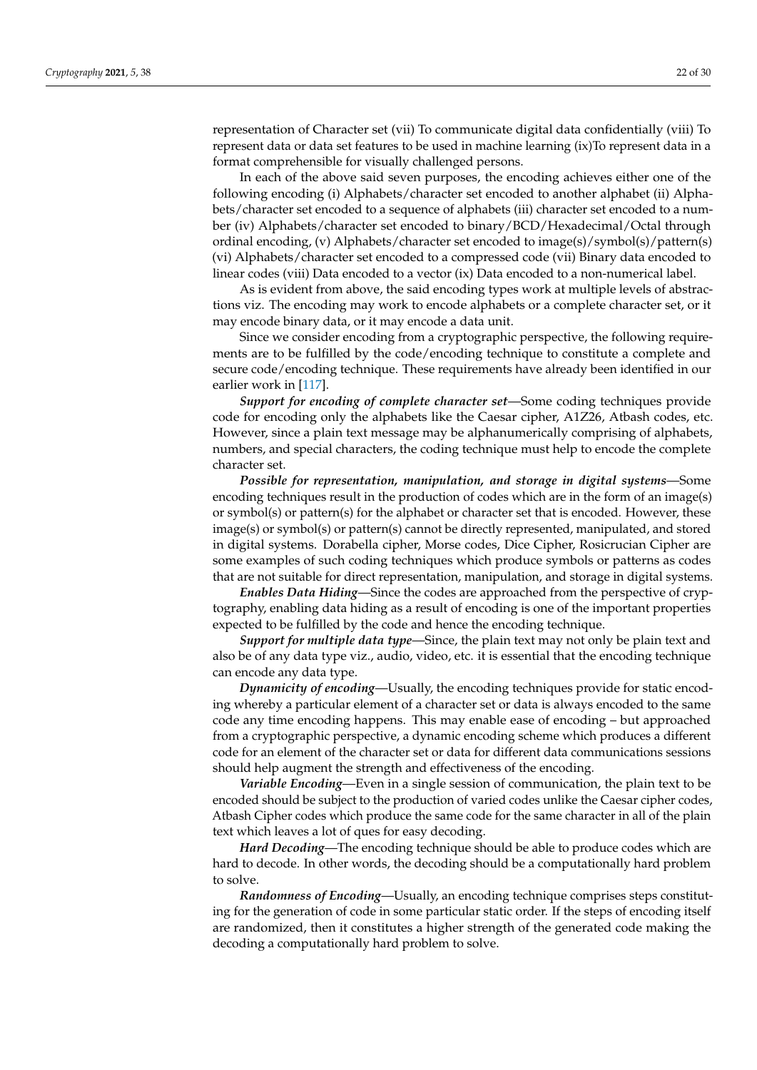representation of Character set (vii) To communicate digital data confidentially (viii) To represent data or data set features to be used in machine learning (ix)To represent data in a format comprehensible for visually challenged persons.

In each of the above said seven purposes, the encoding achieves either one of the following encoding (i) Alphabets/character set encoded to another alphabet (ii) Alphabets/character set encoded to a sequence of alphabets (iii) character set encoded to a number (iv) Alphabets/character set encoded to binary/BCD/Hexadecimal/Octal through ordinal encoding, (v) Alphabets/character set encoded to image(s)/symbol(s)/pattern(s) (vi) Alphabets/character set encoded to a compressed code (vii) Binary data encoded to linear codes (viii) Data encoded to a vector (ix) Data encoded to a non-numerical label.

As is evident from above, the said encoding types work at multiple levels of abstractions viz. The encoding may work to encode alphabets or a complete character set, or it may encode binary data, or it may encode a data unit.

Since we consider encoding from a cryptographic perspective, the following requirements are to be fulfilled by the code/encoding technique to constitute a complete and secure code/encoding technique. These requirements have already been identified in our earlier work in [\[117\]](#page-28-24).

*Support for encoding of complete character set*—Some coding techniques provide code for encoding only the alphabets like the Caesar cipher, A1Z26, Atbash codes, etc. However, since a plain text message may be alphanumerically comprising of alphabets, numbers, and special characters, the coding technique must help to encode the complete character set.

*Possible for representation, manipulation, and storage in digital systems*—Some encoding techniques result in the production of codes which are in the form of an image(s) or symbol(s) or pattern(s) for the alphabet or character set that is encoded. However, these image(s) or symbol(s) or pattern(s) cannot be directly represented, manipulated, and stored in digital systems. Dorabella cipher, Morse codes, Dice Cipher, Rosicrucian Cipher are some examples of such coding techniques which produce symbols or patterns as codes that are not suitable for direct representation, manipulation, and storage in digital systems.

*Enables Data Hiding*—Since the codes are approached from the perspective of cryptography, enabling data hiding as a result of encoding is one of the important properties expected to be fulfilled by the code and hence the encoding technique.

*Support for multiple data type*—Since, the plain text may not only be plain text and also be of any data type viz., audio, video, etc. it is essential that the encoding technique can encode any data type.

*Dynamicity of encoding*—Usually, the encoding techniques provide for static encoding whereby a particular element of a character set or data is always encoded to the same code any time encoding happens. This may enable ease of encoding – but approached from a cryptographic perspective, a dynamic encoding scheme which produces a different code for an element of the character set or data for different data communications sessions should help augment the strength and effectiveness of the encoding.

*Variable Encoding*—Even in a single session of communication, the plain text to be encoded should be subject to the production of varied codes unlike the Caesar cipher codes, Atbash Cipher codes which produce the same code for the same character in all of the plain text which leaves a lot of ques for easy decoding.

*Hard Decoding*—The encoding technique should be able to produce codes which are hard to decode. In other words, the decoding should be a computationally hard problem to solve.

*Randomness of Encoding*—Usually, an encoding technique comprises steps constituting for the generation of code in some particular static order. If the steps of encoding itself are randomized, then it constitutes a higher strength of the generated code making the decoding a computationally hard problem to solve.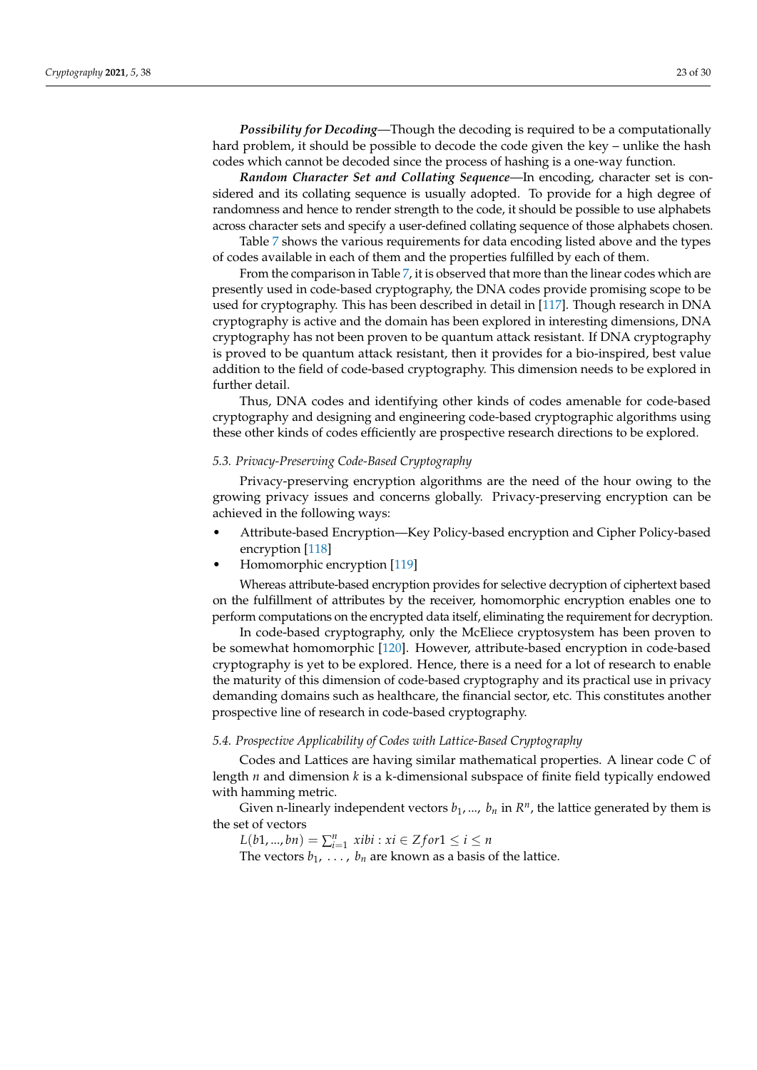*Possibility for Decoding*—Though the decoding is required to be a computationally hard problem, it should be possible to decode the code given the key – unlike the hash codes which cannot be decoded since the process of hashing is a one-way function.

*Random Character Set and Collating Sequence*—In encoding, character set is considered and its collating sequence is usually adopted. To provide for a high degree of randomness and hence to render strength to the code, it should be possible to use alphabets across character sets and specify a user-defined collating sequence of those alphabets chosen.

Table [7](#page-23-0) shows the various requirements for data encoding listed above and the types of codes available in each of them and the properties fulfilled by each of them.

From the comparison in Table [7,](#page-23-0) it is observed that more than the linear codes which are presently used in code-based cryptography, the DNA codes provide promising scope to be used for cryptography. This has been described in detail in [\[117\]](#page-28-24). Though research in DNA cryptography is active and the domain has been explored in interesting dimensions, DNA cryptography has not been proven to be quantum attack resistant. If DNA cryptography is proved to be quantum attack resistant, then it provides for a bio-inspired, best value addition to the field of code-based cryptography. This dimension needs to be explored in further detail.

Thus, DNA codes and identifying other kinds of codes amenable for code-based cryptography and designing and engineering code-based cryptographic algorithms using these other kinds of codes efficiently are prospective research directions to be explored.

#### *5.3. Privacy-Preserving Code-Based Cryptography*

Privacy-preserving encryption algorithms are the need of the hour owing to the growing privacy issues and concerns globally. Privacy-preserving encryption can be achieved in the following ways:

- Attribute-based Encryption—Key Policy-based encryption and Cipher Policy-based encryption [\[118\]](#page-28-25)
- Homomorphic encryption [\[119\]](#page-28-26)

Whereas attribute-based encryption provides for selective decryption of ciphertext based on the fulfillment of attributes by the receiver, homomorphic encryption enables one to perform computations on the encrypted data itself, eliminating the requirement for decryption.

In code-based cryptography, only the McEliece cryptosystem has been proven to be somewhat homomorphic [\[120\]](#page-28-27). However, attribute-based encryption in code-based cryptography is yet to be explored. Hence, there is a need for a lot of research to enable the maturity of this dimension of code-based cryptography and its practical use in privacy demanding domains such as healthcare, the financial sector, etc. This constitutes another prospective line of research in code-based cryptography.

## *5.4. Prospective Applicability of Codes with Lattice-Based Cryptography*

Codes and Lattices are having similar mathematical properties. A linear code *C* of length *n* and dimension *k* is a k-dimensional subspace of finite field typically endowed with hamming metric.

Given n-linearly independent vectors  $b_1$ , ...,  $b_n$  in  $R^n$ , the lattice generated by them is the set of vectors

 $L(b1, ..., bn) = \sum_{i=1}^{n} xibi : xi \in Zfor1 \le i \le n$ 

The vectors  $b_1, \ldots, b_n$  are known as a basis of the lattice.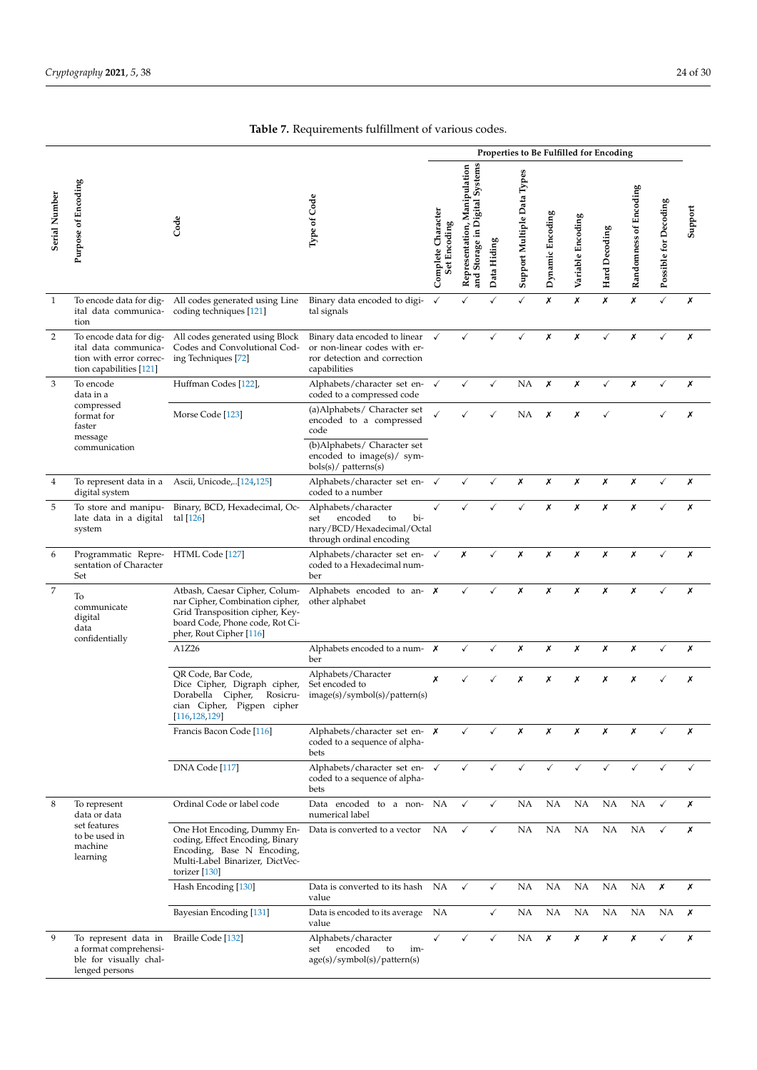<span id="page-23-0"></span>

|                |                                                                                                       |                                                                                                                                                                   | Properties to Be Fulfilled for Encoding                                                                       |                                    |                                                                   |              |                             |                  |                   |               |                        |                       |         |
|----------------|-------------------------------------------------------------------------------------------------------|-------------------------------------------------------------------------------------------------------------------------------------------------------------------|---------------------------------------------------------------------------------------------------------------|------------------------------------|-------------------------------------------------------------------|--------------|-----------------------------|------------------|-------------------|---------------|------------------------|-----------------------|---------|
| Serial Number  | <b>Purpose of Encoding</b>                                                                            | Code                                                                                                                                                              | Type of Code                                                                                                  | Complete Character<br>Set Encoding | and Storage in Digital Systems<br>Manipulation<br>Representation, | Data Hiding  | Support Multiple Data Types | Dynamic Encoding | Variable Encoding | Hard Decoding | Randomness of Encoding | Possible for Decoding | Support |
| $\mathbf{1}$   | To encode data for dig-<br>ital data communica-<br>tion                                               | All codes generated using Line<br>coding techniques [121]                                                                                                         | Binary data encoded to digi-<br>tal signals                                                                   | $\checkmark$                       | ✓                                                                 | ✓            | $\checkmark$                | Х                | X                 | X             | X                      | $\checkmark$          | Х       |
| $\overline{2}$ | To encode data for dig-<br>ital data communica-<br>tion with error correc-<br>tion capabilities [121] | All codes generated using Block<br>Codes and Convolutional Cod-<br>ing Techniques [72]                                                                            | Binary data encoded to linear<br>or non-linear codes with er-<br>ror detection and correction<br>capabilities | $\checkmark$                       | ✓                                                                 | ✓            | ✓                           | x                | Х                 | ✓             | Х                      | ✓                     | Х       |
| 3              | To encode<br>data in a                                                                                | Huffman Codes [122],                                                                                                                                              | Alphabets/character set en-<br>coded to a compressed code                                                     | $\checkmark$                       | ✓                                                                 | $\checkmark$ | NA                          | X                | Х                 | ✓             | Х                      | ✓                     | X       |
|                | compressed<br>format for<br>faster<br>message<br>communication                                        | Morse Code [123]                                                                                                                                                  | (a)Alphabets/ Character set<br>encoded to a compressed<br>code<br>(b)Alphabets/ Character set                 |                                    |                                                                   |              | NA                          | Х                | Х                 | ✓             |                        | ✓                     | Х       |
| 4              |                                                                                                       |                                                                                                                                                                   | encoded to image(s)/ sym-<br>bols(s)/ patterns(s)                                                             |                                    | ✓                                                                 | $\checkmark$ | Х                           | Х                | Х                 | Х             | Х                      | √                     | Х       |
|                | digital system                                                                                        | To represent data in a Ascii, Unicode,[124,125]                                                                                                                   | Alphabets/character set en-<br>coded to a number                                                              | $\checkmark$                       |                                                                   |              |                             |                  |                   |               |                        |                       |         |
| 5              | To store and manipu-<br>late data in a digital<br>system                                              | Binary, BCD, Hexadecimal, Oc-<br>tal $[126]$                                                                                                                      | Alphabets/character<br>bi-<br>set<br>encoded<br>to<br>nary/BCD/Hexadecimal/Octal<br>through ordinal encoding  | ✓                                  |                                                                   |              |                             | X                | Х                 | Х             | Х                      |                       | Х       |
| 6              | Programmatic Repre- HTML Code [127]<br>sentation of Character<br>Set                                  |                                                                                                                                                                   | Alphabets/character set en- √<br>coded to a Hexadecimal num-<br>ber                                           |                                    | Х                                                                 | ✓            | Х                           | Х                | Х                 | Х             | Х                      |                       | Х       |
| $\sqrt{2}$     | To<br>communicate<br>digital<br>data<br>confidentially                                                | Atbash, Caesar Cipher, Colum-<br>nar Cipher, Combination cipher,<br>Grid Transposition cipher, Key-<br>board Code, Phone code, Rot Ci-<br>pher, Rout Cipher [116] | Alphabets encoded to an- $\boldsymbol{\chi}$<br>other alphabet                                                |                                    | ✓                                                                 | ✓            | Х                           | Х                | Х                 | Х             | Х                      |                       | Х       |
|                |                                                                                                       | A1Z26                                                                                                                                                             | Alphabets encoded to a num- $\boldsymbol{\chi}$<br>ber                                                        |                                    | ✓                                                                 | $\checkmark$ | Х                           | Х                | Х                 | Х             | Х                      | ✓                     | Х       |
|                |                                                                                                       | OR Code, Bar Code,<br>Dice Cipher, Digraph cipher,<br>Rosicru-<br>Dorabella Cipher,<br>cian Cipher, Pigpen cipher<br>[116, 128, 129]                              | Alphabets/Character<br>Set encoded to<br>image(s)/symbol(s)/path(s)                                           | Х                                  |                                                                   |              | Х                           | Х                | Х                 | Х             | Х                      |                       | Х       |
|                |                                                                                                       | Francis Bacon Code [116]                                                                                                                                          | Alphabets/character set en- $\boldsymbol{x}$<br>coded to a sequence of alpha-<br>bets                         |                                    |                                                                   |              | Х                           | Х                | х                 | х             | Х                      |                       | Х       |
|                |                                                                                                       | DNA Code [117]                                                                                                                                                    | Alphabets/character set en- √<br>coded to a sequence of alpha-<br>bets                                        |                                    | ✓                                                                 | ✓            | $\checkmark$                | ✓                | $\checkmark$      | ✓             | $\checkmark$           | ✓                     | ✓       |
| 8              | To represent<br>data or data                                                                          | Ordinal Code or label code                                                                                                                                        | Data encoded to a non- NA<br>numerical label                                                                  |                                    | $\checkmark$                                                      | $\checkmark$ | NA                          | <b>NA</b>        | NA                | NA.           | NA                     | ✓                     | Х       |
|                | set features<br>to be used in<br>machine<br>learning                                                  | One Hot Encoding, Dummy En-<br>coding, Effect Encoding, Binary<br>Encoding, Base N Encoding,<br>Multi-Label Binarizer, DictVec-<br>torizer $[130]$                | Data is converted to a vector                                                                                 | NA                                 | ✓                                                                 | $\checkmark$ | NA.                         | NA               | NA.               | NA.           | NA                     | ✓                     | Х       |
|                |                                                                                                       | Hash Encoding [130]                                                                                                                                               | Data is converted to its hash<br>value                                                                        | NA                                 | $\checkmark$                                                      | $\checkmark$ | NA.                         | NA               | NA.               | NA.           | NA                     | Х                     | Х       |
|                |                                                                                                       | Bayesian Encoding [131]                                                                                                                                           | Data is encoded to its average<br>value                                                                       | ΝA                                 |                                                                   | $\checkmark$ | NA                          | NA               | NA                | ΝA            | NA                     | NA                    | Х       |
| 9              | To represent data in<br>a format comprehensi-<br>ble for visually chal-<br>lenged persons             | Braille Code [132]                                                                                                                                                | Alphabets/character<br>encoded<br>to<br>set<br>im-<br>age(s)/symbol(s)/pattern(s)                             | $\checkmark$                       | ✓                                                                 | $\checkmark$ | NA.                         | Х                | Х                 | Х             | Х                      | ✓                     | Х       |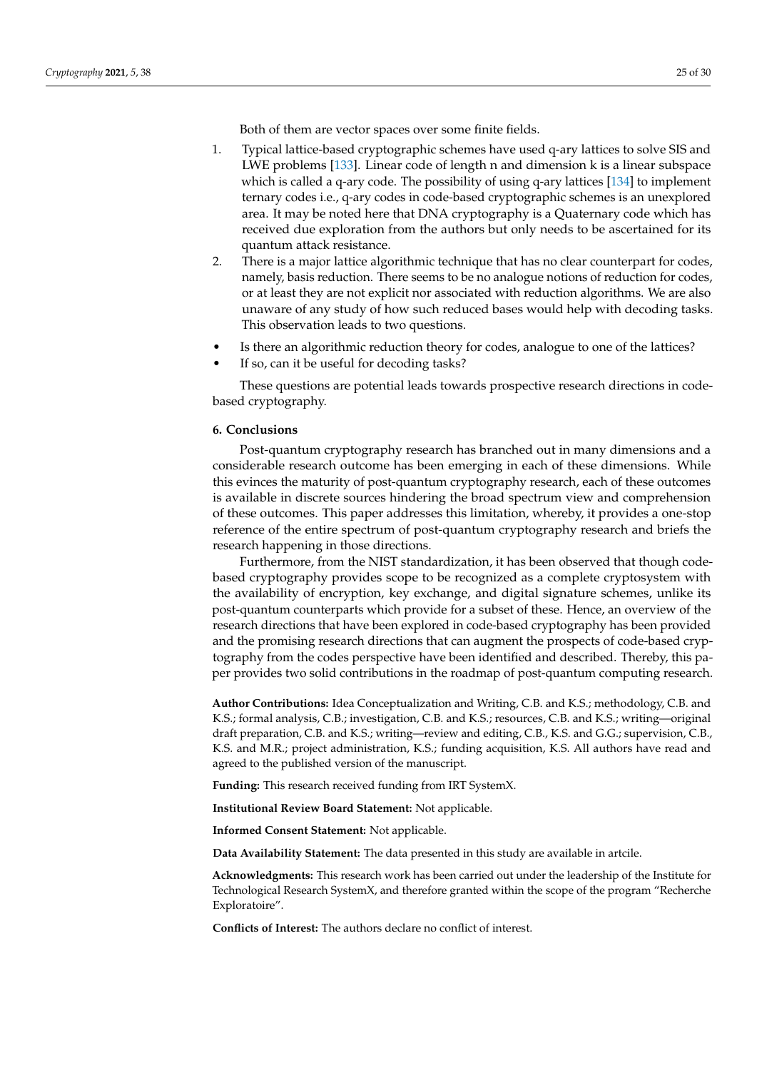Both of them are vector spaces over some finite fields.

- 1. Typical lattice-based cryptographic schemes have used q-ary lattices to solve SIS and LWE problems [\[133\]](#page-29-7). Linear code of length n and dimension k is a linear subspace which is called a q-ary code. The possibility of using q-ary lattices [\[134\]](#page-29-8) to implement ternary codes i.e., q-ary codes in code-based cryptographic schemes is an unexplored area. It may be noted here that DNA cryptography is a Quaternary code which has received due exploration from the authors but only needs to be ascertained for its quantum attack resistance.
- 2. There is a major lattice algorithmic technique that has no clear counterpart for codes, namely, basis reduction. There seems to be no analogue notions of reduction for codes, or at least they are not explicit nor associated with reduction algorithms. We are also unaware of any study of how such reduced bases would help with decoding tasks. This observation leads to two questions.
- Is there an algorithmic reduction theory for codes, analogue to one of the lattices?
- If so, can it be useful for decoding tasks?

These questions are potential leads towards prospective research directions in codebased cryptography.

#### <span id="page-24-0"></span>**6. Conclusions**

Post-quantum cryptography research has branched out in many dimensions and a considerable research outcome has been emerging in each of these dimensions. While this evinces the maturity of post-quantum cryptography research, each of these outcomes is available in discrete sources hindering the broad spectrum view and comprehension of these outcomes. This paper addresses this limitation, whereby, it provides a one-stop reference of the entire spectrum of post-quantum cryptography research and briefs the research happening in those directions.

Furthermore, from the NIST standardization, it has been observed that though codebased cryptography provides scope to be recognized as a complete cryptosystem with the availability of encryption, key exchange, and digital signature schemes, unlike its post-quantum counterparts which provide for a subset of these. Hence, an overview of the research directions that have been explored in code-based cryptography has been provided and the promising research directions that can augment the prospects of code-based cryptography from the codes perspective have been identified and described. Thereby, this paper provides two solid contributions in the roadmap of post-quantum computing research.

**Author Contributions:** Idea Conceptualization and Writing, C.B. and K.S.; methodology, C.B. and K.S.; formal analysis, C.B.; investigation, C.B. and K.S.; resources, C.B. and K.S.; writing—original draft preparation, C.B. and K.S.; writing—review and editing, C.B., K.S. and G.G.; supervision, C.B., K.S. and M.R.; project administration, K.S.; funding acquisition, K.S. All authors have read and agreed to the published version of the manuscript.

**Funding:** This research received funding from IRT SystemX.

**Institutional Review Board Statement:** Not applicable.

**Informed Consent Statement:** Not applicable.

**Data Availability Statement:** The data presented in this study are available in artcile.

**Acknowledgments:** This research work has been carried out under the leadership of the Institute for Technological Research SystemX, and therefore granted within the scope of the program "Recherche Exploratoire".

**Conflicts of Interest:** The authors declare no conflict of interest.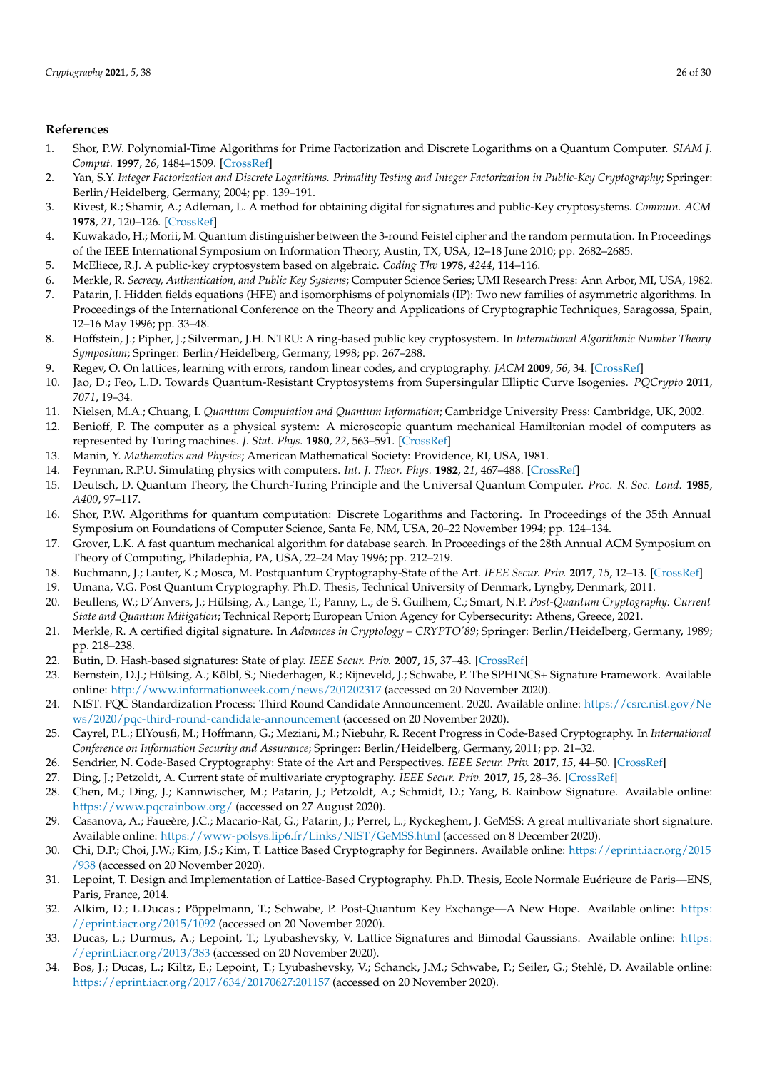# **References**

- <span id="page-25-0"></span>1. Shor, P.W. Polynomial-Time Algorithms for Prime Factorization and Discrete Logarithms on a Quantum Computer. *SIAM J. Comput.* **1997**, *26*, 1484–1509. [\[CrossRef\]](http://doi.org/10.1137/S0097539795293172)
- <span id="page-25-1"></span>2. Yan, S.Y. *Integer Factorization and Discrete Logarithms. Primality Testing and Integer Factorization in Public-Key Cryptography*; Springer: Berlin/Heidelberg, Germany, 2004; pp. 139–191.
- <span id="page-25-2"></span>3. Rivest, R.; Shamir, A.; Adleman, L. A method for obtaining digital for signatures and public-Key cryptosystems. *Commun. ACM* **1978**, *21*, 120–126. [\[CrossRef\]](http://dx.doi.org/10.1145/359340.359342)
- <span id="page-25-3"></span>4. Kuwakado, H.; Morii, M. Quantum distinguisher between the 3-round Feistel cipher and the random permutation. In Proceedings of the IEEE International Symposium on Information Theory, Austin, TX, USA, 12–18 June 2010; pp. 2682–2685.
- <span id="page-25-4"></span>5. McEliece, R.J. A public-key cryptosystem based on algebraic. *Coding Thv* **1978**, *4244*, 114–116.
- <span id="page-25-5"></span>6. Merkle, R. *Secrecy, Authentication, and Public Key Systems*; Computer Science Series; UMI Research Press: Ann Arbor, MI, USA, 1982.
- <span id="page-25-6"></span>7. Patarin, J. Hidden fields equations (HFE) and isomorphisms of polynomials (IP): Two new families of asymmetric algorithms. In Proceedings of the International Conference on the Theory and Applications of Cryptographic Techniques, Saragossa, Spain, 12–16 May 1996; pp. 33–48.
- <span id="page-25-7"></span>8. Hoffstein, J.; Pipher, J.; Silverman, J.H. NTRU: A ring-based public key cryptosystem. In *International Algorithmic Number Theory Symposium*; Springer: Berlin/Heidelberg, Germany, 1998; pp. 267–288.
- <span id="page-25-8"></span>9. Regev, O. On lattices, learning with errors, random linear codes, and cryptography. *JACM* **2009**, *56*, 34. [\[CrossRef\]](http://dx.doi.org/10.1145/1568318.1568324)
- <span id="page-25-9"></span>10. Jao, D.; Feo, L.D. Towards Quantum-Resistant Cryptosystems from Supersingular Elliptic Curve Isogenies. *PQCrypto* **2011**, *7071*, 19–34.
- <span id="page-25-10"></span>11. Nielsen, M.A.; Chuang, I. *Quantum Computation and Quantum Information*; Cambridge University Press: Cambridge, UK, 2002.
- <span id="page-25-11"></span>12. Benioff, P. The computer as a physical system: A microscopic quantum mechanical Hamiltonian model of computers as represented by Turing machines. *J. Stat. Phys.* **1980**, *22*, 563–591. [\[CrossRef\]](http://dx.doi.org/10.1007/BF01011339)
- <span id="page-25-12"></span>13. Manin, Y. *Mathematics and Physics*; American Mathematical Society: Providence, RI, USA, 1981.
- <span id="page-25-13"></span>14. Feynman, R.P.U. Simulating physics with computers. *Int. J. Theor. Phys.* **1982**, *21*, 467–488. [\[CrossRef\]](http://dx.doi.org/10.1007/BF02650179)
- <span id="page-25-14"></span>15. Deutsch, D. Quantum Theory, the Church-Turing Principle and the Universal Quantum Computer. *Proc. R. Soc. Lond.* **1985**, *A400*, 97–117.
- <span id="page-25-15"></span>16. Shor, P.W. Algorithms for quantum computation: Discrete Logarithms and Factoring. In Proceedings of the 35th Annual Symposium on Foundations of Computer Science, Santa Fe, NM, USA, 20–22 November 1994; pp. 124–134.
- <span id="page-25-16"></span>17. Grover, L.K. A fast quantum mechanical algorithm for database search. In Proceedings of the 28th Annual ACM Symposium on Theory of Computing, Philadephia, PA, USA, 22–24 May 1996; pp. 212–219.
- <span id="page-25-17"></span>18. Buchmann, J.; Lauter, K.; Mosca, M. Postquantum Cryptography-State of the Art. *IEEE Secur. Priv.* **2017**, *15*, 12–13. [\[CrossRef\]](http://dx.doi.org/10.1109/MSP.2017.3151326)
- <span id="page-25-33"></span>19. Umana, V.G. Post Quantum Cryptography. Ph.D. Thesis, Technical University of Denmark, Lyngby, Denmark, 2011.
- <span id="page-25-18"></span>20. Beullens, W.; D'Anvers, J.; Hülsing, A.; Lange, T.; Panny, L.; de S. Guilhem, C.; Smart, N.P. *Post-Quantum Cryptography: Current State and Quantum Mitigation*; Technical Report; European Union Agency for Cybersecurity: Athens, Greece, 2021.
- <span id="page-25-19"></span>21. Merkle, R. A certified digital signature. In *Advances in Cryptology – CRYPTO'89*; Springer: Berlin/Heidelberg, Germany, 1989; pp. 218–238.
- <span id="page-25-20"></span>22. Butin, D. Hash-based signatures: State of play. *IEEE Secur. Priv.* **2007**, *15*, 37–43. [\[CrossRef\]](http://dx.doi.org/10.1109/MSP.2017.3151334)
- <span id="page-25-21"></span>23. Bernstein, D.J.; Hülsing, A.; Kölbl, S.; Niederhagen, R.; Rijneveld, J.; Schwabe, P. The SPHINCS+ Signature Framework. Available online: <http://www.informationweek.com/news/201202317> (accessed on 20 November 2020).
- <span id="page-25-22"></span>24. NIST. PQC Standardization Process: Third Round Candidate Announcement. 2020. Available online: [https://csrc.nist.gov/Ne](https://csrc.nist.gov/News/2020/pqc-third-round-candidate-announcement) [ws/2020/pqc-third-round-candidate-announcement](https://csrc.nist.gov/News/2020/pqc-third-round-candidate-announcement) (accessed on 20 November 2020).
- <span id="page-25-23"></span>25. Cayrel, P.L.; ElYousfi, M.; Hoffmann, G.; Meziani, M.; Niebuhr, R. Recent Progress in Code-Based Cryptography. In *International Conference on Information Security and Assurance*; Springer: Berlin/Heidelberg, Germany, 2011; pp. 21–32.
- <span id="page-25-24"></span>26. Sendrier, N. Code-Based Cryptography: State of the Art and Perspectives. *IEEE Secur. Priv.* **2017**, *15*, 44–50. [\[CrossRef\]](http://dx.doi.org/10.1109/MSP.2017.3151345)
- <span id="page-25-25"></span>27. Ding, J.; Petzoldt, A. Current state of multivariate cryptography. *IEEE Secur. Priv.* **2017**, *15*, 28–36. [\[CrossRef\]](http://dx.doi.org/10.1109/MSP.2017.3151328)
- <span id="page-25-26"></span>28. Chen, M.; Ding, J.; Kannwischer, M.; Patarin, J.; Petzoldt, A.; Schmidt, D.; Yang, B. Rainbow Signature. Available online: <https://www.pqcrainbow.org/> (accessed on 27 August 2020).
- <span id="page-25-27"></span>29. Casanova, A.; Faueère, J.C.; Macario-Rat, G.; Patarin, J.; Perret, L.; Ryckeghem, J. GeMSS: A great multivariate short signature. Available online: <https://www-polsys.lip6.fr/Links/NIST/GeMSS.html> (accessed on 8 December 2020).
- <span id="page-25-28"></span>30. Chi, D.P.; Choi, J.W.; Kim, J.S.; Kim, T. Lattice Based Cryptography for Beginners. Available online: [https://eprint.iacr.org/2015](https://eprint.iacr.org/2015/938) [/938](https://eprint.iacr.org/2015/938) (accessed on 20 November 2020).
- <span id="page-25-29"></span>31. Lepoint, T. Design and Implementation of Lattice-Based Cryptography. Ph.D. Thesis, Ecole Normale Euérieure de Paris—ENS, Paris, France, 2014.
- <span id="page-25-30"></span>32. Alkim, D.; L.Ducas.; Pöppelmann, T.; Schwabe, P. Post-Quantum Key Exchange—A New Hope. Available online: [https:](https://eprint.iacr.org/2015/1092) [//eprint.iacr.org/2015/1092](https://eprint.iacr.org/2015/1092) (accessed on 20 November 2020).
- <span id="page-25-31"></span>33. Ducas, L.; Durmus, A.; Lepoint, T.; Lyubashevsky, V. Lattice Signatures and Bimodal Gaussians. Available online: [https:](https://eprint.iacr.org/2013/383) [//eprint.iacr.org/2013/383](https://eprint.iacr.org/2013/383) (accessed on 20 November 2020).
- <span id="page-25-32"></span>34. Bos, J.; Ducas, L.; Kiltz, E.; Lepoint, T.; Lyubashevsky, V.; Schanck, J.M.; Schwabe, P.; Seiler, G.; Stehlé, D. Available online: <https://eprint.iacr.org/2017/634/20170627:201157> (accessed on 20 November 2020).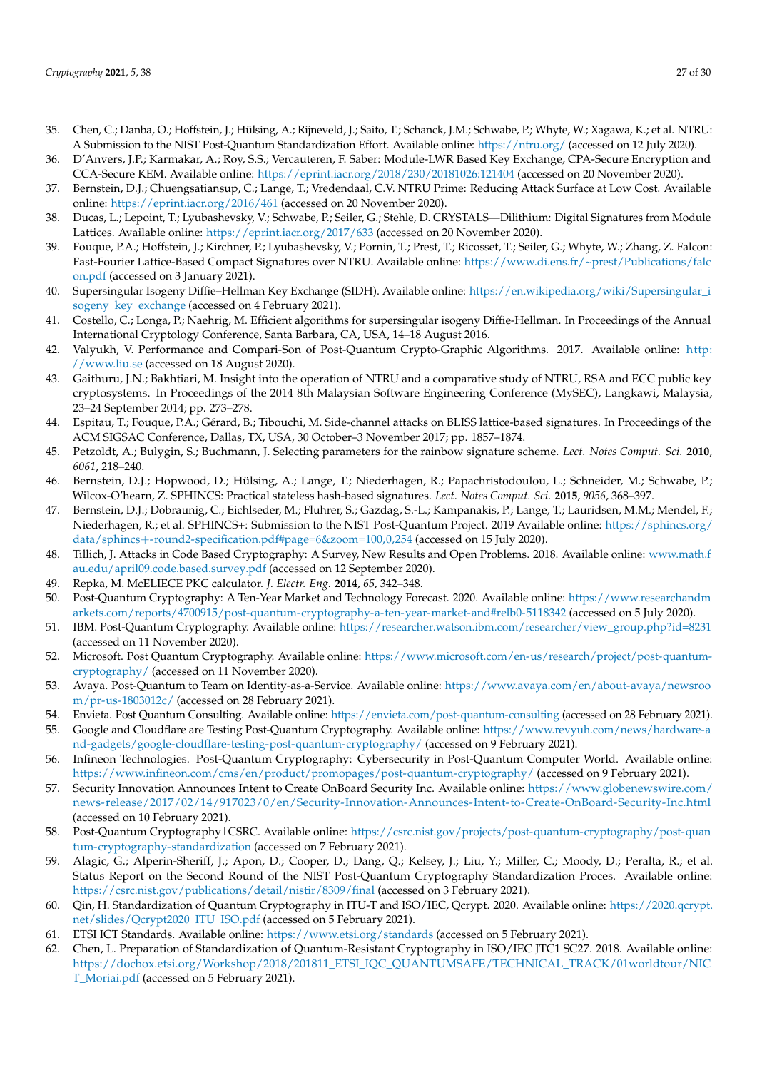- <span id="page-26-0"></span>35. Chen, C.; Danba, O.; Hoffstein, J.; Hülsing, A.; Rijneveld, J.; Saito, T.; Schanck, J.M.; Schwabe, P.; Whyte, W.; Xagawa, K.; et al. NTRU: A Submission to the NIST Post-Quantum Standardization Effort. Available online: <https://ntru.org/> (accessed on 12 July 2020).
- <span id="page-26-1"></span>36. D'Anvers, J.P.; Karmakar, A.; Roy, S.S.; Vercauteren, F. Saber: Module-LWR Based Key Exchange, CPA-Secure Encryption and CCA-Secure KEM. Available online: <https://eprint.iacr.org/2018/230/20181026:121404> (accessed on 20 November 2020).
- <span id="page-26-2"></span>37. Bernstein, D.J.; Chuengsatiansup, C.; Lange, T.; Vredendaal, C.V. NTRU Prime: Reducing Attack Surface at Low Cost. Available online: <https://eprint.iacr.org/2016/461> (accessed on 20 November 2020).
- <span id="page-26-3"></span>38. Ducas, L.; Lepoint, T.; Lyubashevsky, V.; Schwabe, P.; Seiler, G.; Stehle, D. CRYSTALS—Dilithium: Digital Signatures from Module Lattices. Available online: <https://eprint.iacr.org/2017/633> (accessed on 20 November 2020).
- <span id="page-26-4"></span>39. Fouque, P.A.; Hoffstein, J.; Kirchner, P.; Lyubashevsky, V.; Pornin, T.; Prest, T.; Ricosset, T.; Seiler, G.; Whyte, W.; Zhang, Z. Falcon: Fast-Fourier Lattice-Based Compact Signatures over NTRU. Available online: [https://www.di.ens.fr/~prest/Publications/falc](https://www.di.ens.fr/~prest/Publications/falcon.pdf) [on.pdf](https://www.di.ens.fr/~prest/Publications/falcon.pdf) (accessed on 3 January 2021).
- <span id="page-26-5"></span>40. Supersingular Isogeny Diffie–Hellman Key Exchange (SIDH). Available online: [https://en.wikipedia.org/wiki/Supersingular\\_i](https://en.wikipedia.org/wiki/Supersingular_isogeny_key_exchange) [sogeny\\_key\\_exchange](https://en.wikipedia.org/wiki/Supersingular_isogeny_key_exchange) (accessed on 4 February 2021).
- <span id="page-26-6"></span>41. Costello, C.; Longa, P.; Naehrig, M. Efficient algorithms for supersingular isogeny Diffie-Hellman. In Proceedings of the Annual International Cryptology Conference, Santa Barbara, CA, USA, 14–18 August 2016.
- <span id="page-26-7"></span>42. Valyukh, V. Performance and Compari-Son of Post-Quantum Crypto-Graphic Algorithms. 2017. Available online: [http:](http://www.liu.se) [//www.liu.se](http://www.liu.se) (accessed on 18 August 2020).
- <span id="page-26-8"></span>43. Gaithuru, J.N.; Bakhtiari, M. Insight into the operation of NTRU and a comparative study of NTRU, RSA and ECC public key cryptosystems. In Proceedings of the 2014 8th Malaysian Software Engineering Conference (MySEC), Langkawi, Malaysia, 23–24 September 2014; pp. 273–278.
- <span id="page-26-9"></span>44. Espitau, T.; Fouque, P.A.; Gérard, B.; Tibouchi, M. Side-channel attacks on BLISS lattice-based signatures. In Proceedings of the ACM SIGSAC Conference, Dallas, TX, USA, 30 October–3 November 2017; pp. 1857–1874.
- <span id="page-26-10"></span>45. Petzoldt, A.; Bulygin, S.; Buchmann, J. Selecting parameters for the rainbow signature scheme. *Lect. Notes Comput. Sci.* **2010**, *6061*, 218–240.
- <span id="page-26-11"></span>46. Bernstein, D.J.; Hopwood, D.; Hülsing, A.; Lange, T.; Niederhagen, R.; Papachristodoulou, L.; Schneider, M.; Schwabe, P.; Wilcox-O'hearn, Z. SPHINCS: Practical stateless hash-based signatures. *Lect. Notes Comput. Sci.* **2015**, *9056*, 368–397.
- <span id="page-26-12"></span>47. Bernstein, D.J.; Dobraunig, C.; Eichlseder, M.; Fluhrer, S.; Gazdag, S.-L.; Kampanakis, P.; Lange, T.; Lauridsen, M.M.; Mendel, F.; Niederhagen, R.; et al. SPHINCS+: Submission to the NIST Post-Quantum Project. 2019 Available online: [https://sphincs.org/](https://sphincs.org/data/sphincs+-round2-specification.pdf#page=6&zoom=100,0,254) data/sphincs+[-round2-specification.pdf#page=6&zoom=100,0,254](https://sphincs.org/data/sphincs+-round2-specification.pdf#page=6&zoom=100,0,254) (accessed on 15 July 2020).
- <span id="page-26-13"></span>48. Tillich, J. Attacks in Code Based Cryptography: A Survey, New Results and Open Problems. 2018. Available online: [www.math.f](www.math.fau.edu/april09.code.based.survey.pdf) [au.edu/april09.code.based.survey.pdf](www.math.fau.edu/april09.code.based.survey.pdf) (accessed on 12 September 2020).
- <span id="page-26-14"></span>49. Repka, M. McELIECE PKC calculator. *J. Electr. Eng.* **2014**, *65*, 342–348.
- <span id="page-26-15"></span>50. Post-Quantum Cryptography: A Ten-Year Market and Technology Forecast. 2020. Available online: [https://www.researchandm](https://www.researchandmarkets.com/reports/4700915/post-quantum-cryptography-a-ten-year-market-and#relb0-5118342) [arkets.com/reports/4700915/post-quantum-cryptography-a-ten-year-market-and#relb0-5118342](https://www.researchandmarkets.com/reports/4700915/post-quantum-cryptography-a-ten-year-market-and#relb0-5118342) (accessed on 5 July 2020).
- <span id="page-26-16"></span>51. IBM. Post-Quantum Cryptography. Available online: [https://researcher.watson.ibm.com/researcher/view\\_group.php?id=8231](https://researcher.watson.ibm.com/researcher/view_group.php?id=8231) (accessed on 11 November 2020).
- <span id="page-26-17"></span>52. Microsoft. Post Quantum Cryptography. Available online: [https://www.microsoft.com/en-us/research/project/post-quantum](https://www.microsoft.com/en-us/research/project/post-quantum-cryptography/)[cryptography/](https://www.microsoft.com/en-us/research/project/post-quantum-cryptography/) (accessed on 11 November 2020).
- <span id="page-26-18"></span>53. Avaya. Post-Quantum to Team on Identity-as-a-Service. Available online: [https://www.avaya.com/en/about-avaya/newsroo](https://www.avaya.com/en/about-avaya/newsroom/pr-us-1803012c/) [m/pr-us-1803012c/](https://www.avaya.com/en/about-avaya/newsroom/pr-us-1803012c/) (accessed on 28 February 2021).
- <span id="page-26-19"></span>54. Envieta. Post Quantum Consulting. Available online: <https://envieta.com/post-quantum-consulting> (accessed on 28 February 2021).
- <span id="page-26-20"></span>55. Google and Cloudflare are Testing Post-Quantum Cryptography. Available online: [https://www.revyuh.com/news/hardware-a](https://www.revyuh.com/news/hardware-and-gadgets/google-cloudflare-testing-post-quantum-cryptography/) [nd-gadgets/google-cloudflare-testing-post-quantum-cryptography/](https://www.revyuh.com/news/hardware-and-gadgets/google-cloudflare-testing-post-quantum-cryptography/) (accessed on 9 February 2021).
- <span id="page-26-21"></span>56. Infineon Technologies. Post-Quantum Cryptography: Cybersecurity in Post-Quantum Computer World. Available online: <https://www.infineon.com/cms/en/product/promopages/post-quantum-cryptography/> (accessed on 9 February 2021).
- <span id="page-26-22"></span>57. Security Innovation Announces Intent to Create OnBoard Security Inc. Available online: [https://www.globenewswire.com/](https://www.globenewswire.com/news-release/2017/02/14/917023/0/en/Security-Innovation-Announces-Intent-to-Create-OnBoard-Security-Inc.html) [news-release/2017/02/14/917023/0/en/Security-Innovation-Announces-Intent-to-Create-OnBoard-Security-Inc.html](https://www.globenewswire.com/news-release/2017/02/14/917023/0/en/Security-Innovation-Announces-Intent-to-Create-OnBoard-Security-Inc.html) (accessed on 10 February 2021).
- <span id="page-26-23"></span>58. Post-Quantum Cryptography|CSRC. Available online: [https://csrc.nist.gov/projects/post-quantum-cryptography/post-quan](https://csrc.nist.gov/projects/post-quantum-cryptography/post-quantum-cryptography-standardization) [tum-cryptography-standardization](https://csrc.nist.gov/projects/post-quantum-cryptography/post-quantum-cryptography-standardization) (accessed on 7 February 2021).
- <span id="page-26-24"></span>59. Alagic, G.; Alperin-Sheriff, J.; Apon, D.; Cooper, D.; Dang, Q.; Kelsey, J.; Liu, Y.; Miller, C.; Moody, D.; Peralta, R.; et al. Status Report on the Second Round of the NIST Post-Quantum Cryptography Standardization Proces. Available online: <https://csrc.nist.gov/publications/detail/nistir/8309/final> (accessed on 3 February 2021).
- <span id="page-26-25"></span>60. Qin, H. Standardization of Quantum Cryptography in ITU-T and ISO/IEC, Qcrypt. 2020. Available online: [https://2020.qcrypt.](https://2020.qcrypt.net/slides/Qcrypt2020_ITU_ISO.pdf) [net/slides/Qcrypt2020\\_ITU\\_ISO.pdf](https://2020.qcrypt.net/slides/Qcrypt2020_ITU_ISO.pdf) (accessed on 5 February 2021).
- <span id="page-26-26"></span>61. ETSI ICT Standards. Available online: <https://www.etsi.org/standards> (accessed on 5 February 2021).
- <span id="page-26-27"></span>62. Chen, L. Preparation of Standardization of Quantum-Resistant Cryptography in ISO/IEC JTC1 SC27. 2018. Available online: [https://docbox.etsi.org/Workshop/2018/201811\\_ETSI\\_IQC\\_QUANTUMSAFE/TECHNICAL\\_TRACK/01worldtour/NIC](https://docbox.etsi.org/Workshop/2018/201811_ETSI_IQC_QUANTUMSAFE/TECHNICAL_TRACK/01worldtour/NICT_Moriai.pdf) [T\\_Moriai.pdf](https://docbox.etsi.org/Workshop/2018/201811_ETSI_IQC_QUANTUMSAFE/TECHNICAL_TRACK/01worldtour/NICT_Moriai.pdf) (accessed on 5 February 2021).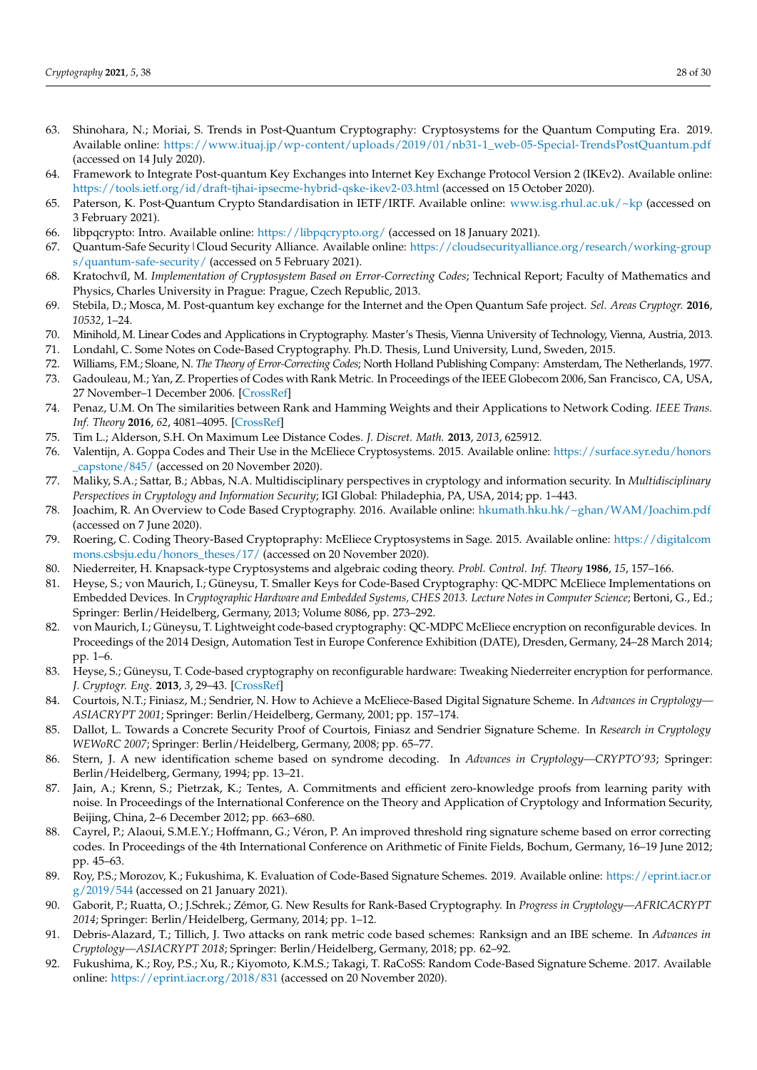- <span id="page-27-0"></span>63. Shinohara, N.; Moriai, S. Trends in Post-Quantum Cryptography: Cryptosystems for the Quantum Computing Era. 2019. Available online: [https://www.ituaj.jp/wp-content/uploads/2019/01/nb31-1\\_web-05-Special-TrendsPostQuantum.pdf](https://www.ituaj.jp/wp-content/uploads/2019/01/nb31-1_web-05-Special-TrendsPostQuantum.pdf) (accessed on 14 July 2020).
- <span id="page-27-1"></span>64. Framework to Integrate Post-quantum Key Exchanges into Internet Key Exchange Protocol Version 2 (IKEv2). Available online: <https://tools.ietf.org/id/draft-tjhai-ipsecme-hybrid-qske-ikev2-03.html> (accessed on 15 October 2020).
- <span id="page-27-2"></span>65. Paterson, K. Post-Quantum Crypto Standardisation in IETF/IRTF. Available online: <www.isg.rhul.ac.uk/~kp> (accessed on 3 February 2021).
- <span id="page-27-3"></span>66. libpqcrypto: Intro. Available online: <https://libpqcrypto.org/> (accessed on 18 January 2021).
- <span id="page-27-4"></span>67. Quantum-Safe Security|Cloud Security Alliance. Available online: [https://cloudsecurityalliance.org/research/working-group](https://cloudsecurityalliance.org/research/working-groups/quantum-safe-security/) [s/quantum-safe-security/](https://cloudsecurityalliance.org/research/working-groups/quantum-safe-security/) (accessed on 5 February 2021).
- <span id="page-27-5"></span>68. Kratochvíl, M. *Implementation of Cryptosystem Based on Error-Correcting Codes*; Technical Report; Faculty of Mathematics and Physics, Charles University in Prague: Prague, Czech Republic, 2013.
- <span id="page-27-6"></span>69. Stebila, D.; Mosca, M. Post-quantum key exchange for the Internet and the Open Quantum Safe project. *Sel. Areas Cryptogr.* **2016**, *10532*, 1–24.
- <span id="page-27-7"></span>70. Minihold, M. Linear Codes and Applications in Cryptography. Master's Thesis, Vienna University of Technology, Vienna, Austria, 2013.
- <span id="page-27-8"></span>71. Londahl, C. Some Notes on Code-Based Cryptography. Ph.D. Thesis, Lund University, Lund, Sweden, 2015.
- <span id="page-27-9"></span>72. Williams, F.M.; Sloane, N. *The Theory of Error-Correcting Codes*; North Holland Publishing Company: Amsterdam, The Netherlands, 1977.
- <span id="page-27-10"></span>73. Gadouleau, M.; Yan, Z. Properties of Codes with Rank Metric. In Proceedings of the IEEE Globecom 2006, San Francisco, CA, USA, 27 November–1 December 2006. [\[CrossRef\]](http://dx.doi.org/10.1109/GLOCOM.2006.173)
- <span id="page-27-11"></span>74. Penaz, U.M. On The similarities between Rank and Hamming Weights and their Applications to Network Coding. *IEEE Trans. Inf. Theory* **2016**, *62*, 4081–4095. [\[CrossRef\]](http://dx.doi.org/10.1109/TIT.2016.2570238)
- <span id="page-27-12"></span>75. Tim L.; Alderson, S.H. On Maximum Lee Distance Codes. *J. Discret. Math.* **2013**, *2013*, 625912.
- <span id="page-27-13"></span>76. Valentijn, A. Goppa Codes and Their Use in the McEliece Cryptosystems. 2015. Available online: [https://surface.syr.edu/honors](https://surface.syr.edu/honors_capstone/845/) [\\_capstone/845/](https://surface.syr.edu/honors_capstone/845/) (accessed on 20 November 2020).
- <span id="page-27-14"></span>77. Maliky, S.A.; Sattar, B.; Abbas, N.A. Multidisciplinary perspectives in cryptology and information security. In *Multidisciplinary Perspectives in Cryptology and Information Security*; IGI Global: Philadephia, PA, USA, 2014; pp. 1–443.
- <span id="page-27-15"></span>78. Joachim, R. An Overview to Code Based Cryptography. 2016. Available online: <hkumath.hku.hk/~ghan/WAM/Joachim.pdf> (accessed on 7 June 2020).
- <span id="page-27-16"></span>79. Roering, C. Coding Theory-Based Cryptopraphy: McEliece Cryptosystems in Sage. 2015. Available online: [https://digitalcom](https://digitalcommons.csbsju.edu/honors_theses/17/) [mons.csbsju.edu/honors\\_theses/17/](https://digitalcommons.csbsju.edu/honors_theses/17/) (accessed on 20 November 2020).
- <span id="page-27-17"></span>80. Niederreiter, H. Knapsack-type Cryptosystems and algebraic coding theory. *Probl. Control. Inf. Theory* **1986**, *15*, 157–166.
- <span id="page-27-18"></span>81. Heyse, S.; von Maurich, I.; Güneysu, T. Smaller Keys for Code-Based Cryptography: QC-MDPC McEliece Implementations on Embedded Devices. In *Cryptographic Hardware and Embedded Systems, CHES 2013. Lecture Notes in Computer Science*; Bertoni, G., Ed.; Springer: Berlin/Heidelberg, Germany, 2013; Volume 8086, pp. 273–292.
- <span id="page-27-19"></span>82. von Maurich, I.; Güneysu, T. Lightweight code-based cryptography: QC-MDPC McEliece encryption on reconfigurable devices. In Proceedings of the 2014 Design, Automation Test in Europe Conference Exhibition (DATE), Dresden, Germany, 24–28 March 2014; pp. 1–6.
- <span id="page-27-20"></span>83. Heyse, S.; Güneysu, T. Code-based cryptography on reconfigurable hardware: Tweaking Niederreiter encryption for performance. *J. Cryptogr. Eng.* **2013**, *3*, 29–43. [\[CrossRef\]](http://dx.doi.org/10.1007/s13389-013-0056-4)
- <span id="page-27-21"></span>84. Courtois, N.T.; Finiasz, M.; Sendrier, N. How to Achieve a McEliece-Based Digital Signature Scheme. In *Advances in Cryptology— ASIACRYPT 2001*; Springer: Berlin/Heidelberg, Germany, 2001; pp. 157–174.
- <span id="page-27-22"></span>85. Dallot, L. Towards a Concrete Security Proof of Courtois, Finiasz and Sendrier Signature Scheme. In *Research in Cryptology WEWoRC 2007*; Springer: Berlin/Heidelberg, Germany, 2008; pp. 65–77.
- <span id="page-27-23"></span>86. Stern, J. A new identification scheme based on syndrome decoding. In *Advances in Cryptology—CRYPTO'93*; Springer: Berlin/Heidelberg, Germany, 1994; pp. 13–21.
- <span id="page-27-24"></span>87. Jain, A.; Krenn, S.; Pietrzak, K.; Tentes, A. Commitments and efficient zero-knowledge proofs from learning parity with noise. In Proceedings of the International Conference on the Theory and Application of Cryptology and Information Security, Beijing, China, 2–6 December 2012; pp. 663–680.
- <span id="page-27-25"></span>88. Cayrel, P.; Alaoui, S.M.E.Y.; Hoffmann, G.; Véron, P. An improved threshold ring signature scheme based on error correcting codes. In Proceedings of the 4th International Conference on Arithmetic of Finite Fields, Bochum, Germany, 16–19 June 2012; pp. 45–63.
- <span id="page-27-26"></span>89. Roy, P.S.; Morozov, K.; Fukushima, K. Evaluation of Code-Based Signature Schemes. 2019. Available online: [https://eprint.iacr.or](https://eprint.iacr.org/2019/544) [g/2019/544](https://eprint.iacr.org/2019/544) (accessed on 21 January 2021).
- <span id="page-27-27"></span>90. Gaborit, P.; Ruatta, O.; J.Schrek.; Zémor, G. New Results for Rank-Based Cryptography. In *Progress in Cryptology—AFRICACRYPT 2014*; Springer: Berlin/Heidelberg, Germany, 2014; pp. 1–12.
- <span id="page-27-28"></span>91. Debris-Alazard, T.; Tillich, J. Two attacks on rank metric code based schemes: Ranksign and an IBE scheme. In *Advances in Cryptology—ASIACRYPT 2018*; Springer: Berlin/Heidelberg, Germany, 2018; pp. 62–92.
- <span id="page-27-29"></span>92. Fukushima, K.; Roy, P.S.; Xu, R.; Kiyomoto, K.M.S.; Takagi, T. RaCoSS: Random Code-Based Signature Scheme. 2017. Available online: <https://eprint.iacr.org/2018/831> (accessed on 20 November 2020).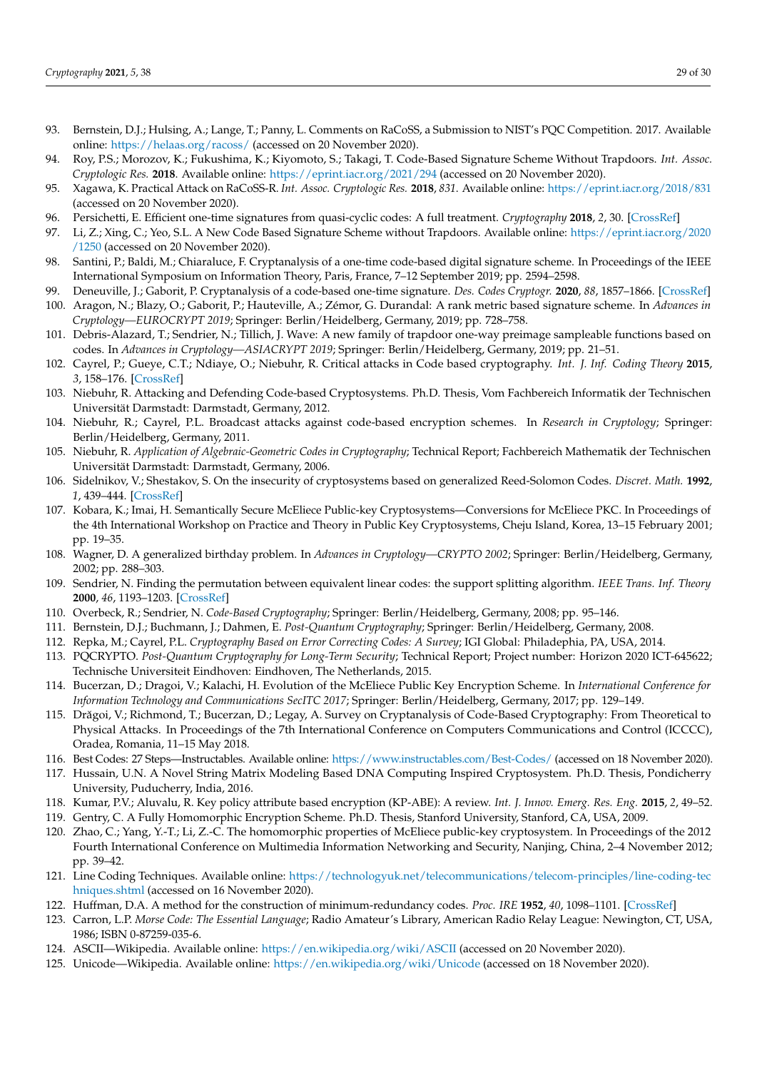- <span id="page-28-0"></span>93. Bernstein, D.J.; Hulsing, A.; Lange, T.; Panny, L. Comments on RaCoSS, a Submission to NIST's PQC Competition. 2017. Available online: <https://helaas.org/racoss/> (accessed on 20 November 2020).
- <span id="page-28-1"></span>94. Roy, P.S.; Morozov, K.; Fukushima, K.; Kiyomoto, S.; Takagi, T. Code-Based Signature Scheme Without Trapdoors. *Int. Assoc. Cryptologic Res.* **2018**. Available online: <https://eprint.iacr.org/2021/294> (accessed on 20 November 2020).
- <span id="page-28-2"></span>95. Xagawa, K. Practical Attack on RaCoSS-R. *Int. Assoc. Cryptologic Res.* **2018**, *831*. Available online: <https://eprint.iacr.org/2018/831> (accessed on 20 November 2020).
- <span id="page-28-3"></span>96. Persichetti, E. Efficient one-time signatures from quasi-cyclic codes: A full treatment. *Cryptography* **2018**, *2*, 30. [\[CrossRef\]](http://dx.doi.org/10.3390/cryptography2040030)
- <span id="page-28-4"></span>97. Li, Z.; Xing, C.; Yeo, S.L. A New Code Based Signature Scheme without Trapdoors. Available online: [https://eprint.iacr.org/2020](https://eprint.iacr.org/2020/1250) [/1250](https://eprint.iacr.org/2020/1250) (accessed on 20 November 2020).
- <span id="page-28-5"></span>98. Santini, P.; Baldi, M.; Chiaraluce, F. Cryptanalysis of a one-time code-based digital signature scheme. In Proceedings of the IEEE International Symposium on Information Theory, Paris, France, 7–12 September 2019; pp. 2594–2598.
- <span id="page-28-6"></span>99. Deneuville, J.; Gaborit, P. Cryptanalysis of a code-based one-time signature. *Des. Codes Cryptogr.* **2020**, *88*, 1857–1866. [\[CrossRef\]](http://dx.doi.org/10.1007/s10623-020-00737-8)
- <span id="page-28-7"></span>100. Aragon, N.; Blazy, O.; Gaborit, P.; Hauteville, A.; Zémor, G. Durandal: A rank metric based signature scheme. In *Advances in Cryptology—EUROCRYPT 2019*; Springer: Berlin/Heidelberg, Germany, 2019; pp. 728–758.
- <span id="page-28-8"></span>101. Debris-Alazard, T.; Sendrier, N.; Tillich, J. Wave: A new family of trapdoor one-way preimage sampleable functions based on codes. In *Advances in Cryptology—ASIACRYPT 2019*; Springer: Berlin/Heidelberg, Germany, 2019; pp. 21–51.
- <span id="page-28-9"></span>102. Cayrel, P.; Gueye, C.T.; Ndiaye, O.; Niebuhr, R. Critical attacks in Code based cryptography. *Int. J. Inf. Coding Theory* **2015**, *3*, 158–176. [\[CrossRef\]](http://dx.doi.org/10.1504/IJICOT.2015.072639)
- <span id="page-28-10"></span>103. Niebuhr, R. Attacking and Defending Code-based Cryptosystems. Ph.D. Thesis, Vom Fachbereich Informatik der Technischen Universität Darmstadt: Darmstadt, Germany, 2012.
- <span id="page-28-11"></span>104. Niebuhr, R.; Cayrel, P.L. Broadcast attacks against code-based encryption schemes. In *Research in Cryptology*; Springer: Berlin/Heidelberg, Germany, 2011.
- <span id="page-28-12"></span>105. Niebuhr, R. *Application of Algebraic-Geometric Codes in Cryptography*; Technical Report; Fachbereich Mathematik der Technischen Universität Darmstadt: Darmstadt, Germany, 2006.
- <span id="page-28-13"></span>106. Sidelnikov, V.; Shestakov, S. On the insecurity of cryptosystems based on generalized Reed-Solomon Codes. *Discret. Math.* **1992**, *1*, 439–444. [\[CrossRef\]](http://dx.doi.org/10.1515/dma.1992.2.4.439)
- <span id="page-28-14"></span>107. Kobara, K.; Imai, H. Semantically Secure McEliece Public-key Cryptosystems—Conversions for McEliece PKC. In Proceedings of the 4th International Workshop on Practice and Theory in Public Key Cryptosystems, Cheju Island, Korea, 13–15 February 2001; pp. 19–35.
- <span id="page-28-15"></span>108. Wagner, D. A generalized birthday problem. In *Advances in Cryptology—CRYPTO 2002*; Springer: Berlin/Heidelberg, Germany, 2002; pp. 288–303.
- <span id="page-28-16"></span>109. Sendrier, N. Finding the permutation between equivalent linear codes: the support splitting algorithm. *IEEE Trans. Inf. Theory* **2000**, *46*, 1193–1203. [\[CrossRef\]](http://dx.doi.org/10.1109/18.850662)
- <span id="page-28-17"></span>110. Overbeck, R.; Sendrier, N. *Code-Based Cryptography*; Springer: Berlin/Heidelberg, Germany, 2008; pp. 95–146.
- <span id="page-28-18"></span>111. Bernstein, D.J.; Buchmann, J.; Dahmen, E. *Post-Quantum Cryptography*; Springer: Berlin/Heidelberg, Germany, 2008.
- <span id="page-28-19"></span>112. Repka, M.; Cayrel, P.L. *Cryptography Based on Error Correcting Codes: A Survey*; IGI Global: Philadephia, PA, USA, 2014.
- <span id="page-28-20"></span>113. PQCRYPTO. *Post-Quantum Cryptography for Long-Term Security*; Technical Report; Project number: Horizon 2020 ICT-645622; Technische Universiteit Eindhoven: Eindhoven, The Netherlands, 2015.
- <span id="page-28-21"></span>114. Bucerzan, D.; Dragoi, V.; Kalachi, H. Evolution of the McEliece Public Key Encryption Scheme. In *International Conference for Information Technology and Communications SecITC 2017*; Springer: Berlin/Heidelberg, Germany, 2017; pp. 129–149.
- <span id="page-28-22"></span>115. Drăgoi, V.; Richmond, T.; Bucerzan, D.; Legay, A. Survey on Cryptanalysis of Code-Based Cryptography: From Theoretical to Physical Attacks. In Proceedings of the 7th International Conference on Computers Communications and Control (ICCCC), Oradea, Romania, 11–15 May 2018.
- <span id="page-28-23"></span>116. Best Codes: 27 Steps—Instructables. Available online: <https://www.instructables.com/Best-Codes/> (accessed on 18 November 2020).
- <span id="page-28-24"></span>117. Hussain, U.N. A Novel String Matrix Modeling Based DNA Computing Inspired Cryptosystem. Ph.D. Thesis, Pondicherry University, Puducherry, India, 2016.
- <span id="page-28-25"></span>118. Kumar, P.V.; Aluvalu, R. Key policy attribute based encryption (KP-ABE): A review. *Int. J. Innov. Emerg. Res. Eng.* **2015**, *2*, 49–52.
- <span id="page-28-26"></span>119. Gentry, C. A Fully Homomorphic Encryption Scheme. Ph.D. Thesis, Stanford University, Stanford, CA, USA, 2009.
- <span id="page-28-27"></span>120. Zhao, C.; Yang, Y.-T.; Li, Z.-C. The homomorphic properties of McEliece public-key cryptosystem. In Proceedings of the 2012 Fourth International Conference on Multimedia Information Networking and Security, Nanjing, China, 2–4 November 2012; pp. 39–42.
- <span id="page-28-28"></span>121. Line Coding Techniques. Available online: [https://technologyuk.net/telecommunications/telecom-principles/line-coding-tec](https://technologyuk.net/telecommunications/telecom-principles/line-coding-techniques.shtml) [hniques.shtml](https://technologyuk.net/telecommunications/telecom-principles/line-coding-techniques.shtml) (accessed on 16 November 2020).
- <span id="page-28-29"></span>122. Huffman, D.A. A method for the construction of minimum-redundancy codes. *Proc. IRE* **1952**, *40*, 1098–1101. [\[CrossRef\]](http://dx.doi.org/10.1109/JRPROC.1952.273898)
- <span id="page-28-30"></span>123. Carron, L.P. *Morse Code: The Essential Language*; Radio Amateur's Library, American Radio Relay League: Newington, CT, USA, 1986; ISBN 0-87259-035-6.
- <span id="page-28-31"></span>124. ASCII—Wikipedia. Available online: <https://en.wikipedia.org/wiki/ASCII> (accessed on 20 November 2020).
- <span id="page-28-32"></span>125. Unicode—Wikipedia. Available online: <https://en.wikipedia.org/wiki/Unicode> (accessed on 18 November 2020).